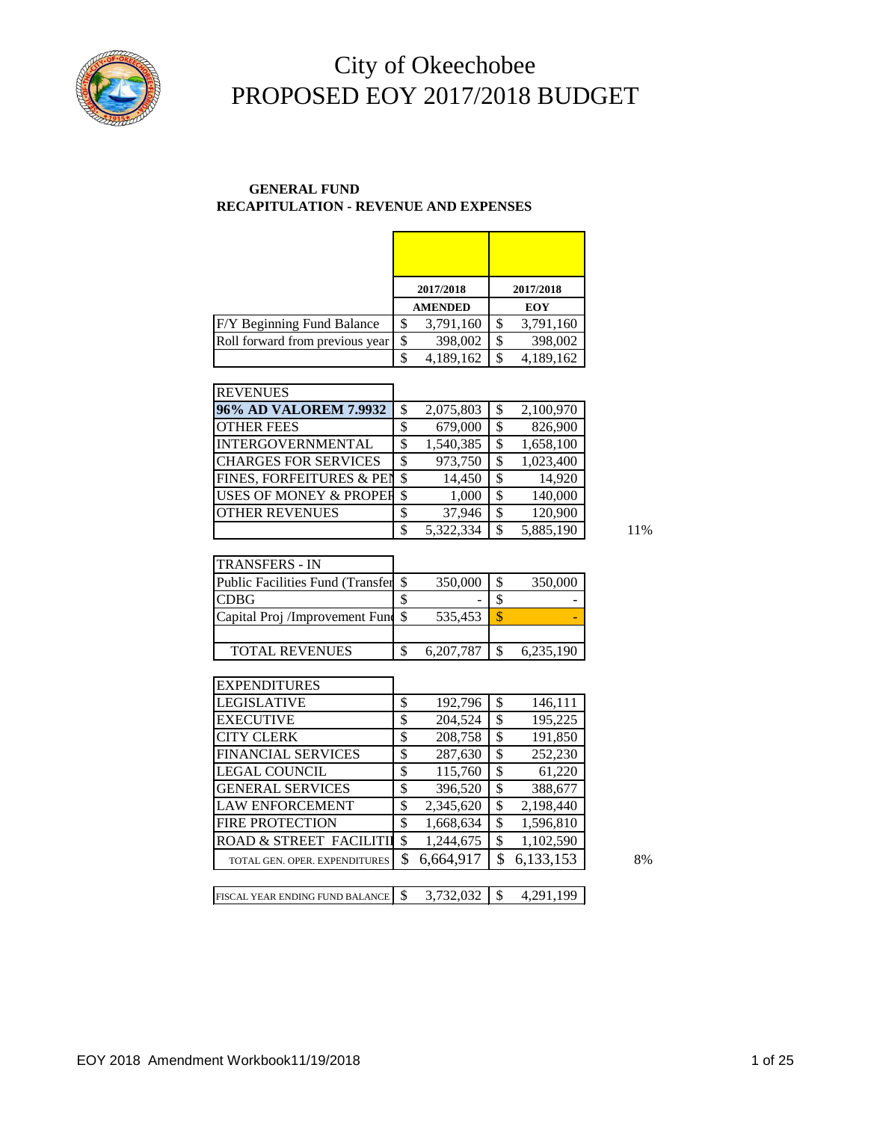

#### **GENERAL FUND RECAPITULATION - REVENUE AND EXPENSES**

|                                 | 2017/2018       |    | 2017/2018 |
|---------------------------------|-----------------|----|-----------|
|                                 | <b>AMENDED</b>  |    | EOY       |
| F/Y Beginning Fund Balance      | \$<br>3,791,160 | S  | 3,791,160 |
| Roll forward from previous year | \$<br>398,002   | \$ | 398,002   |
|                                 | \$<br>4,189,162 | \$ | 4,189,162 |

| <b>REVENUES</b>                   |                           |           |                 |
|-----------------------------------|---------------------------|-----------|-----------------|
| 96% AD VALOREM 7.9932             | \$                        | 2,075,803 | 2,100,970       |
| <b>OTHER FEES</b>                 | \$                        | 679,000   | 826,900         |
| INTERGOVERNMENTAL                 | \$                        | 1,540,385 | \$<br>1,658,100 |
| <b>CHARGES FOR SERVICES</b>       | \$                        | 973,750   | \$<br>1,023,400 |
| FINES, FORFEITURES & PEN          | -\$                       | 14,450    | \$<br>14,920    |
| <b>USES OF MONEY &amp; PROPER</b> | $\boldsymbol{\mathsf{S}}$ | 1,000     | \$<br>140,000   |
| <b>IOTHER REVENUES</b>            | \$                        | 37,946    | \$<br>120,900   |
|                                   |                           | 5.322.334 | 5.885.190       |

| <b>ITRANSFERS - IN</b>                     |           |           |
|--------------------------------------------|-----------|-----------|
| <b>Public Facilities Fund (Transfer \$</b> | 350,000   | 350,000   |
| <b>CDBG</b>                                |           |           |
| Capital Proj /Improvement Fund \$          | 535,453   |           |
|                                            |           |           |
| <b>TOTAL REVENUES</b>                      | 6,207,787 | 6,235,190 |

| <b>EXPENDITURES</b>               |    |           |                 |    |
|-----------------------------------|----|-----------|-----------------|----|
| <b>LEGISLATIVE</b>                | \$ | 192,796   | \$<br>146,111   |    |
| <b>EXECUTIVE</b>                  | \$ | 204,524   | \$<br>195,225   |    |
| <b>CITY CLERK</b>                 | \$ | 208,758   | \$<br>191,850   |    |
| <b>FINANCIAL SERVICES</b>         | \$ | 287,630   | \$<br>252,230   |    |
| <b>LEGAL COUNCIL</b>              | \$ | 115,760   | \$<br>61,220    |    |
| <b>GENERAL SERVICES</b>           | \$ | 396,520   | \$<br>388,677   |    |
| <b>LAW ENFORCEMENT</b>            | \$ | 2,345,620 | \$<br>2,198,440 |    |
| <b>FIRE PROTECTION</b>            | \$ | 1,668,634 | \$<br>1,596,810 |    |
| <b>ROAD &amp; STREET FACILITI</b> | \$ | 1,244,675 | \$<br>1,102,590 |    |
| TOTAL GEN. OPER. EXPENDITURES     | S  | 6,664,917 | \$<br>6,133,153 | 8% |
|                                   |    |           |                 |    |
| FISCAL YEAR ENDING FUND BALANCE   | S  | 3,732,032 | \$<br>4,291,199 |    |

11%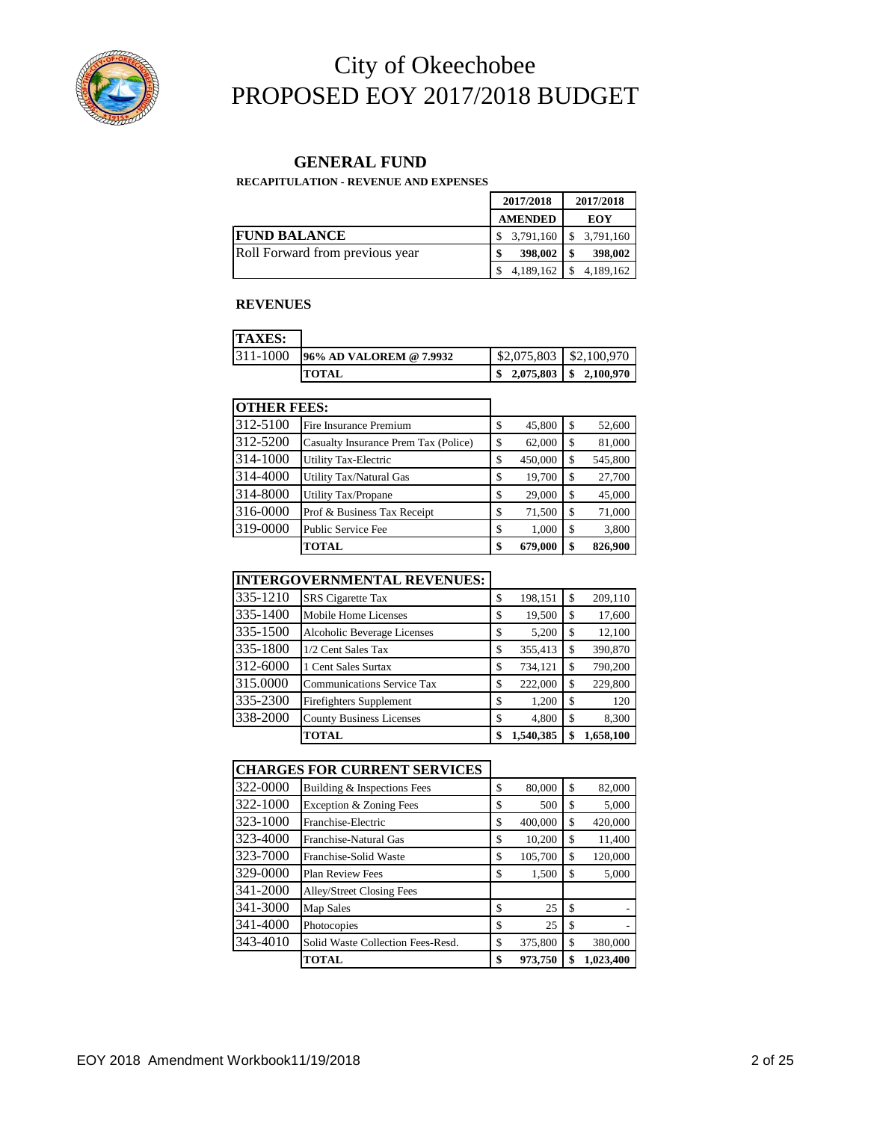

#### **GENERAL FUND**

**RECAPITULATION - REVENUE AND EXPENSES**

|                                 | 2017/2018      | 2017/2018 |           |  |
|---------------------------------|----------------|-----------|-----------|--|
|                                 | <b>AMENDED</b> | EOY       |           |  |
| <b>FUND BALANCE</b>             | 3,791,160      |           | 3,791,160 |  |
| Roll Forward from previous year | 398,002        |           | 398,002   |  |
|                                 | 4,189,162      |           | 4,189,162 |  |

#### **REVENUES**

| <b>TAXES:</b> |                         |                                            |  |
|---------------|-------------------------|--------------------------------------------|--|
| 311-1000      | 96% AD VALOREM @ 7.9932 | $$2,075,803$ $$2,100,970$                  |  |
|               | <b>ITOTAL</b>           | $\frac{1}{2}$ , 2,075,803 \ \ \$ 2,100,970 |  |

| <b>OTHER FEES:</b> |                                      |               |     |         |
|--------------------|--------------------------------------|---------------|-----|---------|
| 312-5100           | Fire Insurance Premium               | \$<br>45,800  | \$  | 52,600  |
| 312-5200           | Casualty Insurance Prem Tax (Police) | \$<br>62,000  | \$. | 81,000  |
| 314-1000           | <b>Utility Tax-Electric</b>          | \$<br>450,000 | \$  | 545,800 |
| 314-4000           | <b>Utility Tax/Natural Gas</b>       | \$<br>19,700  | \$  | 27,700  |
| 314-8000           | <b>Utility Tax/Propane</b>           | \$<br>29,000  | \$. | 45,000  |
| 316-0000           | Prof & Business Tax Receipt          | \$<br>71,500  | \$. | 71,000  |
| 319-0000           | Public Service Fee                   | \$<br>1,000   | S   | 3,800   |
|                    | <b>TOTAL</b>                         | \$<br>679,000 | \$  | 826,900 |

### **INTERGOVERNMENTAL REVENUES:**

|          | <b>TOTAL</b>                      | \$<br>1,540,385 |    | 1,658,100 |
|----------|-----------------------------------|-----------------|----|-----------|
| 338-2000 | <b>County Business Licenses</b>   | \$<br>4,800     | S  | 8,300     |
| 335-2300 | Firefighters Supplement           | \$<br>1,200     | \$ | 120       |
| 315,0000 | <b>Communications Service Tax</b> | \$<br>222,000   | S  | 229,800   |
| 312-6000 | 1 Cent Sales Surtax               | \$<br>734,121   | S  | 790,200   |
| 335-1800 | 1/2 Cent Sales Tax                | \$<br>355,413   | S  | 390,870   |
| 335-1500 | Alcoholic Beverage Licenses       | \$<br>5,200     | S  | 12,100    |
| 335-1400 | Mobile Home Licenses              | \$<br>19,500    | S  | 17,600    |
| 335-1210 | <b>SRS</b> Cigarette Tax          | \$<br>198,151   | S  | 209,110   |
|          |                                   |                 |    |           |

#### **CHARGES FOR CURRENT SERVICES**

| 322-0000 | Building & Inspections Fees       | \$<br>80,000  | \$ | 82,000    |
|----------|-----------------------------------|---------------|----|-----------|
| 322-1000 | Exception & Zoning Fees           | \$<br>500     | \$ | 5,000     |
| 323-1000 | Franchise-Electric                | \$<br>400,000 | \$ | 420,000   |
| 323-4000 | Franchise-Natural Gas             | \$<br>10,200  | S  | 11,400    |
| 323-7000 | Franchise-Solid Waste             | \$<br>105,700 | \$ | 120,000   |
| 329-0000 | <b>Plan Review Fees</b>           | \$<br>1,500   | \$ | 5,000     |
| 341-2000 | Alley/Street Closing Fees         |               |    |           |
| 341-3000 | <b>Map Sales</b>                  | \$<br>25      | S  |           |
| 341-4000 | Photocopies                       | \$<br>25      | \$ |           |
| 343-4010 | Solid Waste Collection Fees-Resd. | \$<br>375,800 | S  | 380,000   |
|          | <b>TOTAL</b>                      | \$<br>973,750 | \$ | 1,023,400 |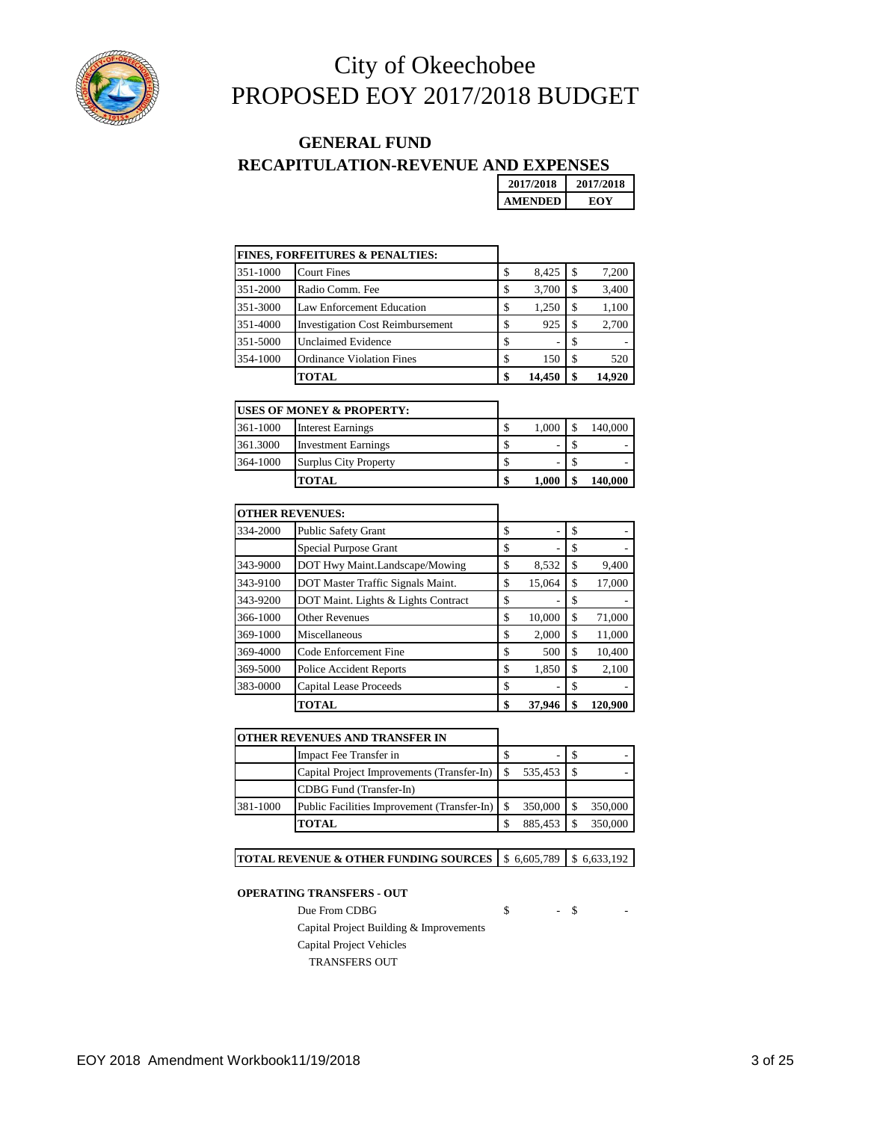

### **RECAPITULATION-REVENUE AND EXPENSES GENERAL FUND**

**2017/2018 2017/2018 AMENDED EOY**

|          | <b>FINES, FORFEITURES &amp; PENALTIES:</b> |    |        |    |        |
|----------|--------------------------------------------|----|--------|----|--------|
| 351-1000 | <b>Court Fines</b>                         | \$ | 8,425  | S. | 7,200  |
| 351-2000 | Radio Comm. Fee                            | \$ | 3,700  |    | 3,400  |
| 351-3000 | Law Enforcement Education                  | \$ | 1,250  | S  | 1,100  |
| 351-4000 | <b>Investigation Cost Reimbursement</b>    | \$ | 925    |    | 2,700  |
| 351-5000 | <b>Unclaimed Evidence</b>                  | S  | ۰      |    |        |
| 354-1000 | <b>Ordinance Violation Fines</b>           | \$ | 150    |    | 520    |
|          | <b>TOTAL</b>                               |    | 14,450 |    | 14.920 |

|          | <b>USES OF MONEY &amp; PROPERTY:</b> |    |       |         |
|----------|--------------------------------------|----|-------|---------|
| 361-1000 | <b>Interest Earnings</b>             | \$ | 1,000 | 140,000 |
| 361.3000 | <b>Investment Earnings</b>           | Φ  |       | -       |
| 364-1000 | <b>Surplus City Property</b>         | ъ  |       |         |
|          | TOTAL                                | \$ | 1.000 | 140.000 |

|          | <b>OTHER REVENUES:</b>              |              |    |         |
|----------|-------------------------------------|--------------|----|---------|
| 334-2000 | <b>Public Safety Grant</b>          | \$           | \$ |         |
|          | Special Purpose Grant               | \$           | S  |         |
| 343-9000 | DOT Hwy Maint.Landscape/Mowing      | \$<br>8,532  | S  | 9,400   |
| 343-9100 | DOT Master Traffic Signals Maint.   | \$<br>15,064 | S  | 17,000  |
| 343-9200 | DOT Maint. Lights & Lights Contract | \$           | S  |         |
| 366-1000 | <b>Other Revenues</b>               | \$<br>10,000 | \$ | 71,000  |
| 369-1000 | Miscellaneous                       | \$<br>2,000  | \$ | 11,000  |
| 369-4000 | Code Enforcement Fine               | \$<br>500    | \$ | 10,400  |
| 369-5000 | <b>Police Accident Reports</b>      | \$<br>1,850  | S  | 2,100   |
| 383-0000 | <b>Capital Lease Proceeds</b>       | \$<br>۰      | S  |         |
|          | TOTAL                               | \$<br>37.946 |    | 120,900 |

|  | OTHER REVENUES AND TRANSFER IN |
|--|--------------------------------|
|  |                                |

|          | Impact Fee Transfer in                                 |            |         |
|----------|--------------------------------------------------------|------------|---------|
|          | Capital Project Improvements (Transfer-In) \ \ \ \ \ \ | 535,453 \$ |         |
|          | CDBG Fund (Transfer-In)                                |            |         |
| 381-1000 | Public Facilities Improvement (Transfer-In)   \$       | 350,000    | 350,000 |
|          | TOTAL                                                  | 885.453    | 350,000 |

#### **TOTAL REVENUE & OTHER FUNDING SOURCES | \$ 6,605,789 | \$ 6,633,192**

#### **OPERATING TRANSFERS - OUT**

Due From CDBG  $\qquad \qquad$  \$ - \$ -Capital Project Building & Improvements

Capital Project Vehicles

TRANSFERS OUT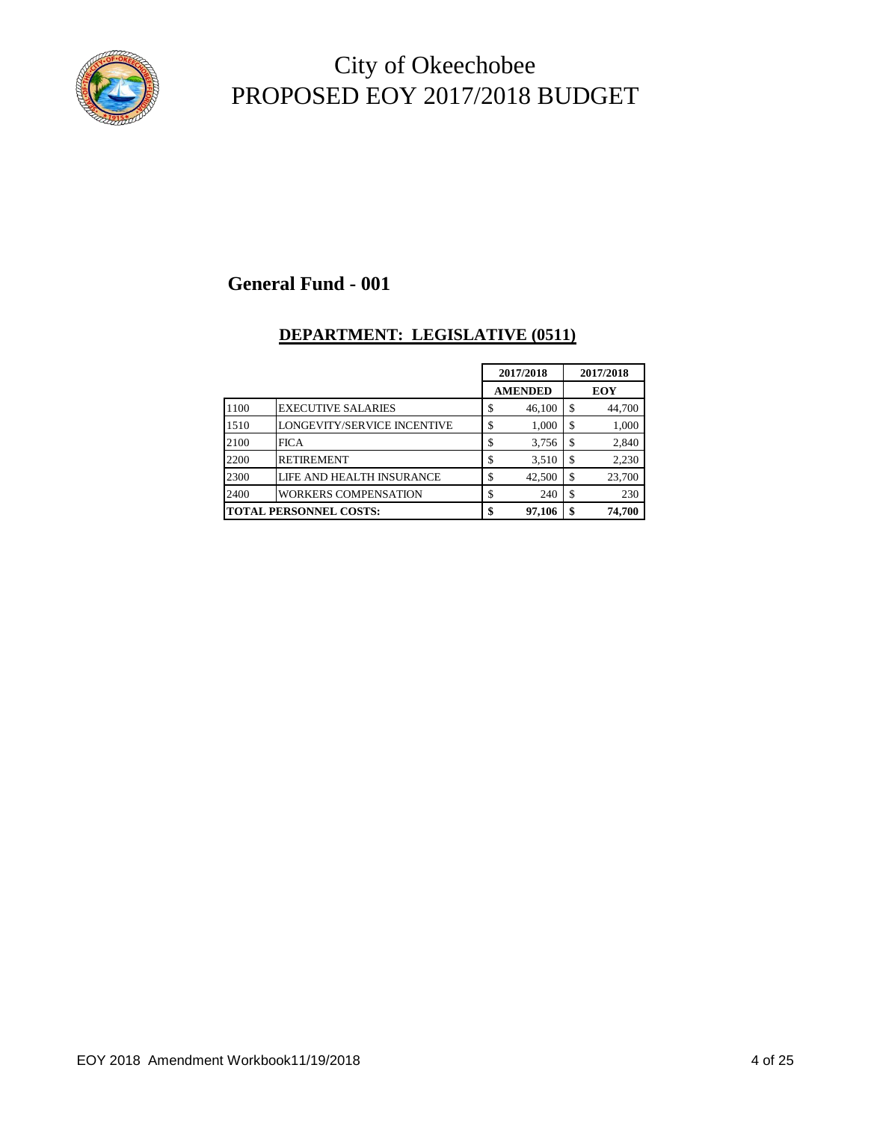

### **General Fund - 001**

### **DEPARTMENT: LEGISLATIVE (0511)**

|                               |                             |     | 2017/2018      |    | 2017/2018 |
|-------------------------------|-----------------------------|-----|----------------|----|-----------|
|                               |                             |     | <b>AMENDED</b> |    | EOY       |
| 1100                          | <b>EXECUTIVE SALARIES</b>   | ۰D. | 46,100         | S. | 44,700    |
| 1510                          | LONGEVITY/SERVICE INCENTIVE |     | 1,000          | \$ | 1,000     |
| 2100                          | <b>FICA</b>                 |     | 3,756          | \$ | 2,840     |
| 2200                          | <b>RETIREMENT</b>           |     | 3,510          | \$ | 2,230     |
| 2300                          | LIFE AND HEALTH INSURANCE   |     | 42,500         | \$ | 23,700    |
| 2400                          | <b>WORKERS COMPENSATION</b> |     | 240            | \$ | 230       |
| <b>TOTAL PERSONNEL COSTS:</b> |                             |     | 97,106         | \$ | 74,700    |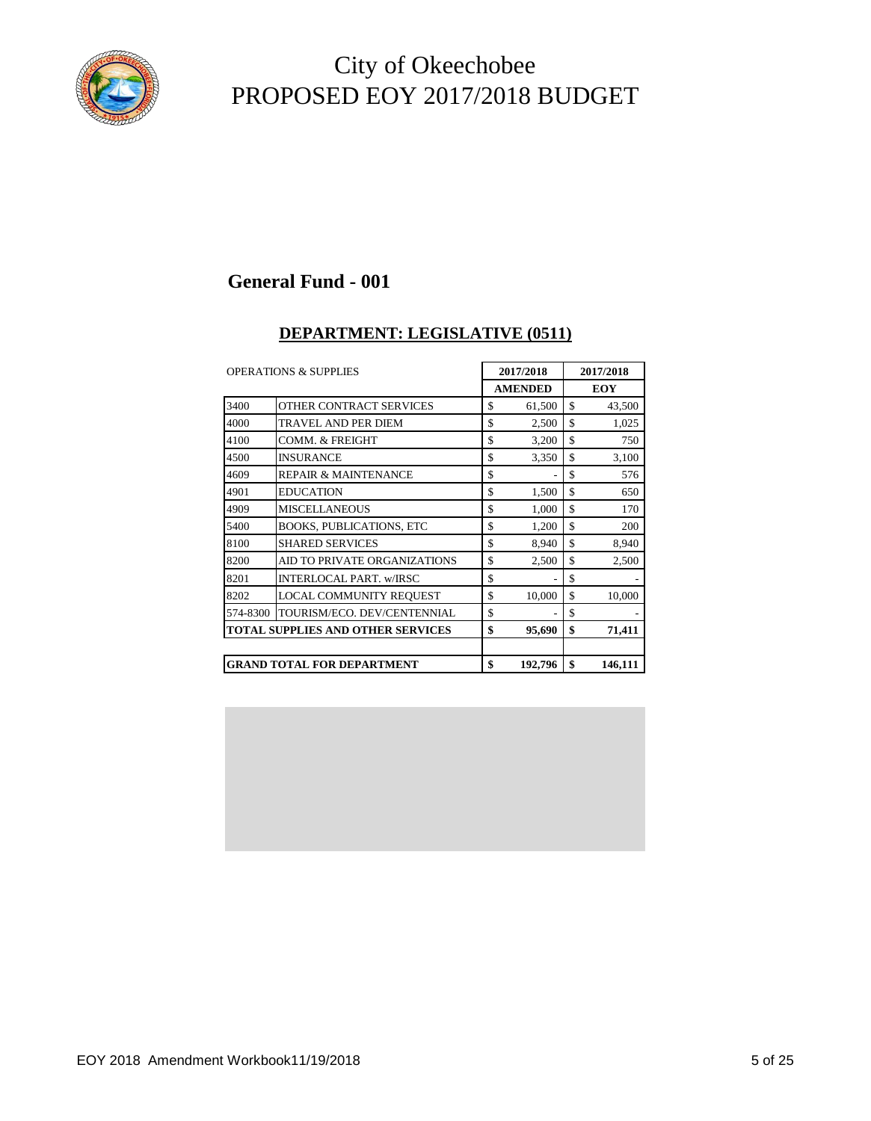

### **General Fund - 001**

#### **DEPARTMENT: LEGISLATIVE (0511)**

| <b>OPERATIONS &amp; SUPPLIES</b> |                                          | 2017/2018      |    | 2017/2018  |  |
|----------------------------------|------------------------------------------|----------------|----|------------|--|
|                                  |                                          | <b>AMENDED</b> |    | <b>EOY</b> |  |
| 3400                             | OTHER CONTRACT SERVICES                  | \$<br>61,500   | \$ | 43,500     |  |
| 4000                             | TRAVEL AND PER DIEM                      | \$<br>2,500    | \$ | 1,025      |  |
| 4100                             | COMM. & FREIGHT                          | \$<br>3,200    | \$ | 750        |  |
| 4500                             | <b>INSURANCE</b>                         | \$<br>3,350    | \$ | 3,100      |  |
| 4609                             | <b>REPAIR &amp; MAINTENANCE</b>          | \$             | \$ | 576        |  |
| 4901                             | <b>EDUCATION</b>                         | \$<br>1,500    | \$ | 650        |  |
| 4909                             | <b>MISCELLANEOUS</b>                     | \$<br>1,000    | \$ | 170        |  |
| 5400                             | <b>BOOKS, PUBLICATIONS, ETC</b>          | \$<br>1,200    | \$ | 200        |  |
| 8100                             | <b>SHARED SERVICES</b>                   | \$<br>8,940    | \$ | 8,940      |  |
| 8200                             | AID TO PRIVATE ORGANIZATIONS             | \$<br>2,500    | \$ | 2,500      |  |
| 8201                             | INTERLOCAL PART. w/IRSC                  | \$<br>٠        | \$ |            |  |
| 8202                             | LOCAL COMMUNITY REQUEST                  | \$<br>10,000   | \$ | 10,000     |  |
| 574-8300                         | TOURISM/ECO. DEV/CENTENNIAL              | \$<br>٠        | \$ |            |  |
|                                  | <b>TOTAL SUPPLIES AND OTHER SERVICES</b> | \$<br>95,690   | \$ | 71,411     |  |
|                                  |                                          |                |    |            |  |
|                                  | <b>GRAND TOTAL FOR DEPARTMENT</b>        | \$<br>192,796  | \$ | 146,111    |  |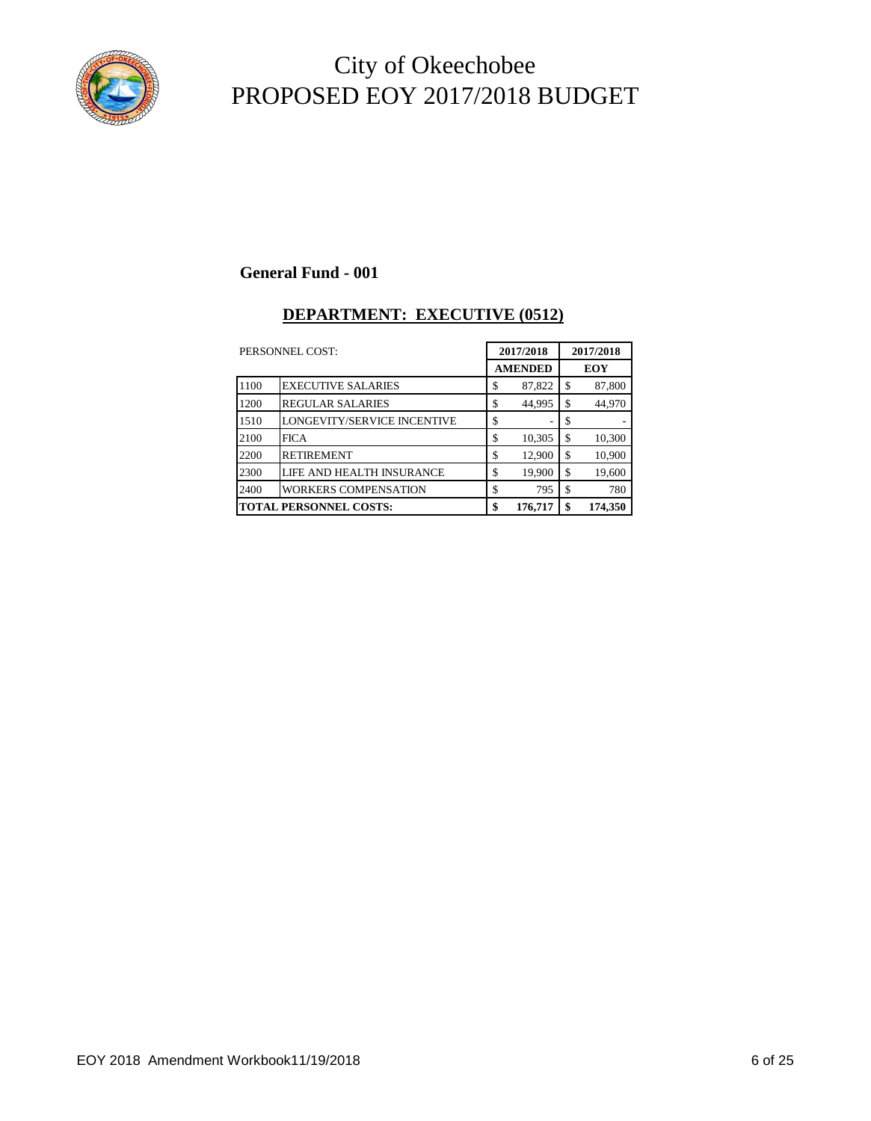

### **General Fund - 001**

### **DEPARTMENT: EXECUTIVE (0512)**

|      | PERSONNEL COST:               |    | 2017/2018      |    | 2017/2018 |  |
|------|-------------------------------|----|----------------|----|-----------|--|
|      |                               |    | <b>AMENDED</b> |    | EOY       |  |
| 1100 | <b>EXECUTIVE SALARIES</b>     | \$ | 87,822         | \$ | 87,800    |  |
| 1200 | <b>REGULAR SALARIES</b>       | \$ | 44,995         | \$ | 44,970    |  |
| 1510 | LONGEVITY/SERVICE INCENTIVE   | \$ |                | \$ |           |  |
| 2100 | <b>FICA</b>                   | \$ | 10,305         | \$ | 10,300    |  |
| 2200 | <b>RETIREMENT</b>             | \$ | 12,900         | \$ | 10,900    |  |
| 2300 | LIFE AND HEALTH INSURANCE     | \$ | 19,900         | \$ | 19,600    |  |
| 2400 | <b>WORKERS COMPENSATION</b>   | \$ | 795            | \$ | 780       |  |
|      | <b>TOTAL PERSONNEL COSTS:</b> | \$ | 176,717        | \$ | 174,350   |  |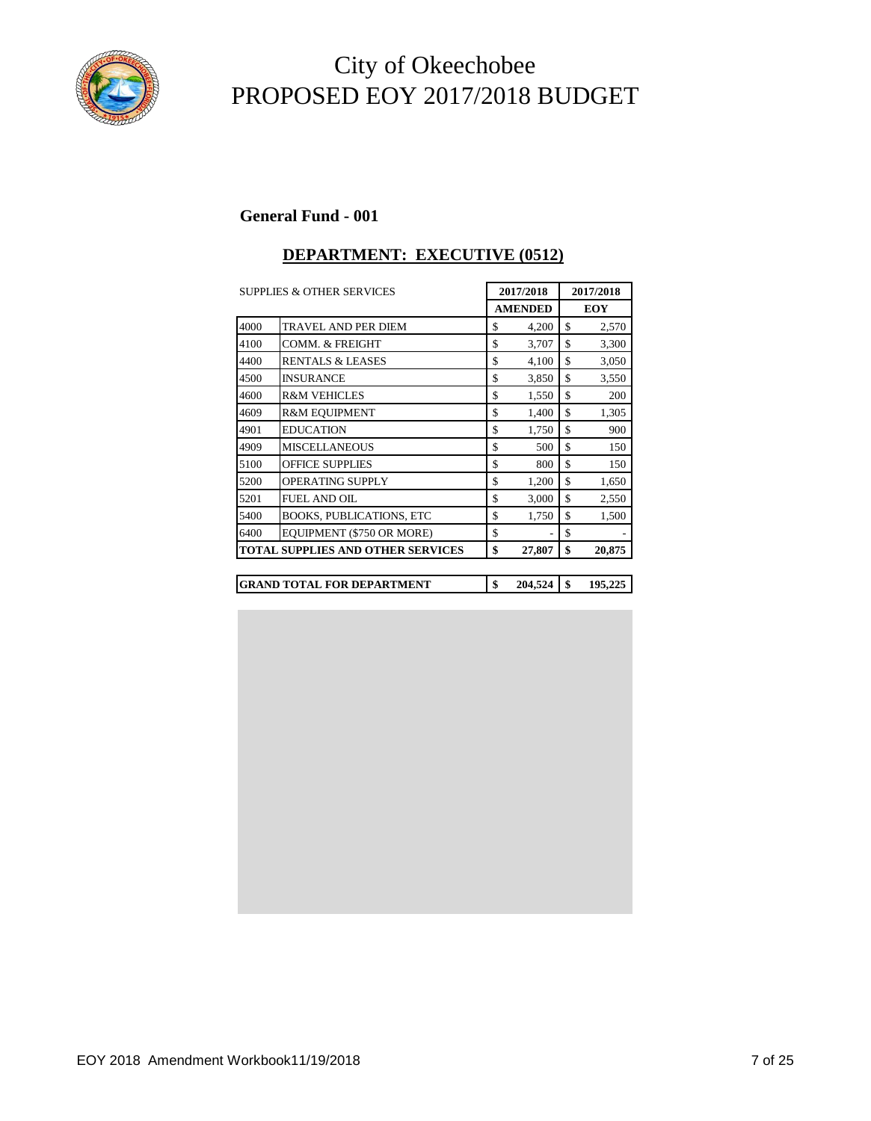

#### **General Fund - 001**

### **DEPARTMENT: EXECUTIVE (0512)**

|      | <b>SUPPLIES &amp; OTHER SERVICES</b>     | 2017/2018      | 2017/2018 |            |
|------|------------------------------------------|----------------|-----------|------------|
|      |                                          | <b>AMENDED</b> |           | <b>EOY</b> |
| 4000 | <b>TRAVEL AND PER DIEM</b>               | \$<br>4,200    | \$        | 2,570      |
| 4100 | <b>COMM. &amp; FREIGHT</b>               | \$<br>3,707    | \$        | 3,300      |
| 4400 | <b>RENTALS &amp; LEASES</b>              | \$<br>4,100    | \$        | 3,050      |
| 4500 | <b>INSURANCE</b>                         | \$<br>3,850    | \$        | 3,550      |
| 4600 | <b>R&amp;M VEHICLES</b>                  | \$<br>1,550    | \$        | 200        |
| 4609 | <b>R&amp;M EOUIPMENT</b>                 | \$<br>1,400    | \$        | 1,305      |
| 4901 | <b>EDUCATION</b>                         | \$<br>1,750    | \$        | 900        |
| 4909 | <b>MISCELLANEOUS</b>                     | \$<br>500      | \$        | 150        |
| 5100 | <b>OFFICE SUPPLIES</b>                   | \$<br>800      | \$        | 150        |
| 5200 | <b>OPERATING SUPPLY</b>                  | \$<br>1,200    | \$        | 1,650      |
| 5201 | <b>FUEL AND OIL</b>                      | \$<br>3,000    | \$        | 2,550      |
| 5400 | <b>BOOKS, PUBLICATIONS, ETC</b>          | \$<br>1,750    | \$        | 1,500      |
| 6400 | EQUIPMENT (\$750 OR MORE)                | \$             | \$        |            |
|      | <b>TOTAL SUPPLIES AND OTHER SERVICES</b> | \$<br>27,807   | \$        | 20,875     |
|      |                                          |                |           |            |
|      | <b>GRAND TOTAL FOR DEPARTMENT</b>        | \$<br>204,524  | \$        | 195,225    |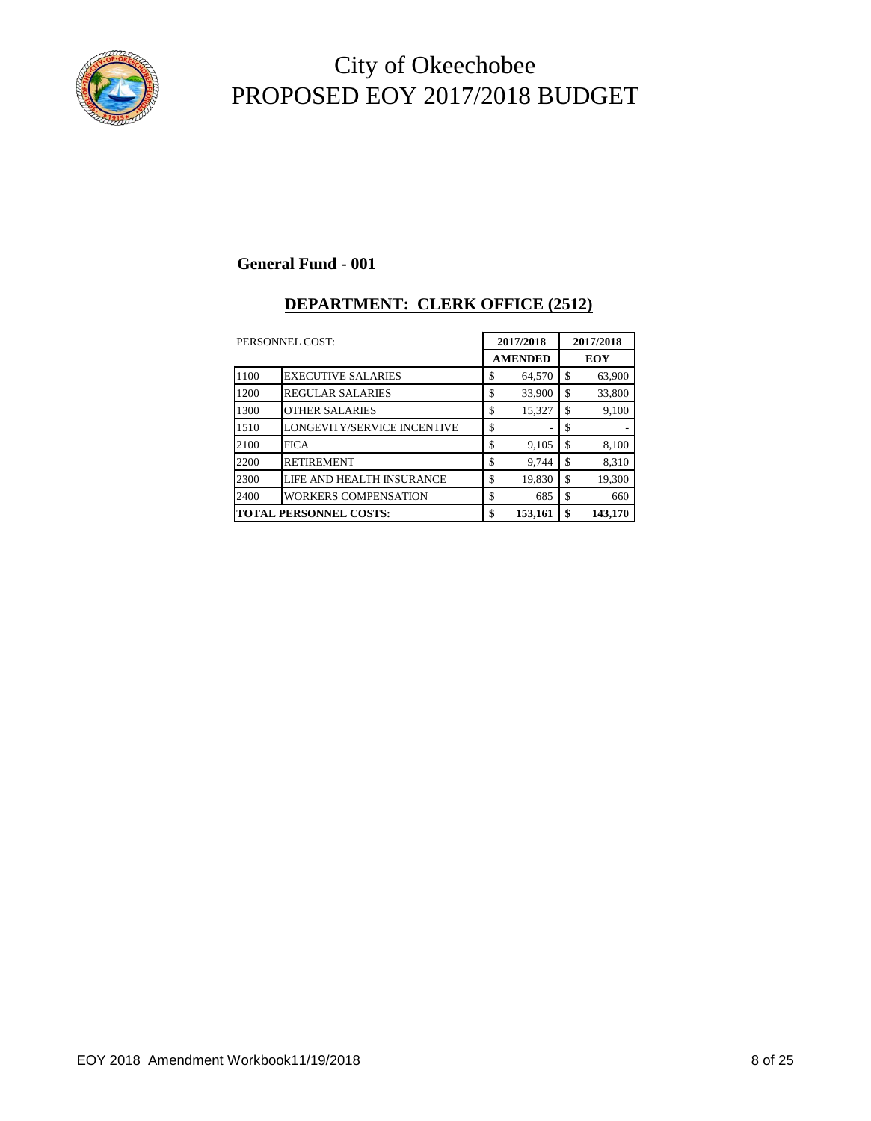

#### **General Fund - 001**

#### **DEPARTMENT: CLERK OFFICE (2512)**

|                               | PERSONNEL COST:                    |    | 2017/2018      | 2017/2018 |            |
|-------------------------------|------------------------------------|----|----------------|-----------|------------|
|                               |                                    |    | <b>AMENDED</b> |           | <b>EOY</b> |
| 1100                          | <b>EXECUTIVE SALARIES</b>          | \$ | 64,570         | \$        | 63,900     |
| 1200                          | <b>REGULAR SALARIES</b>            | \$ | 33,900         | \$        | 33,800     |
| 1300                          | <b>OTHER SALARIES</b>              | \$ | 15,327         | \$        | 9,100      |
| 1510                          | <b>LONGEVITY/SERVICE INCENTIVE</b> | \$ |                | \$        |            |
| 2100                          | <b>FICA</b>                        | \$ | 9,105          | \$        | 8,100      |
| 2200                          | <b>RETIREMENT</b>                  | \$ | 9.744          | \$        | 8,310      |
| 2300                          | LIFE AND HEALTH INSURANCE          | \$ | 19,830         | \$        | 19,300     |
| 2400                          | <b>WORKERS COMPENSATION</b>        | \$ | 685            | \$        | 660        |
| <b>TOTAL PERSONNEL COSTS:</b> |                                    | \$ | 153,161        | \$        | 143,170    |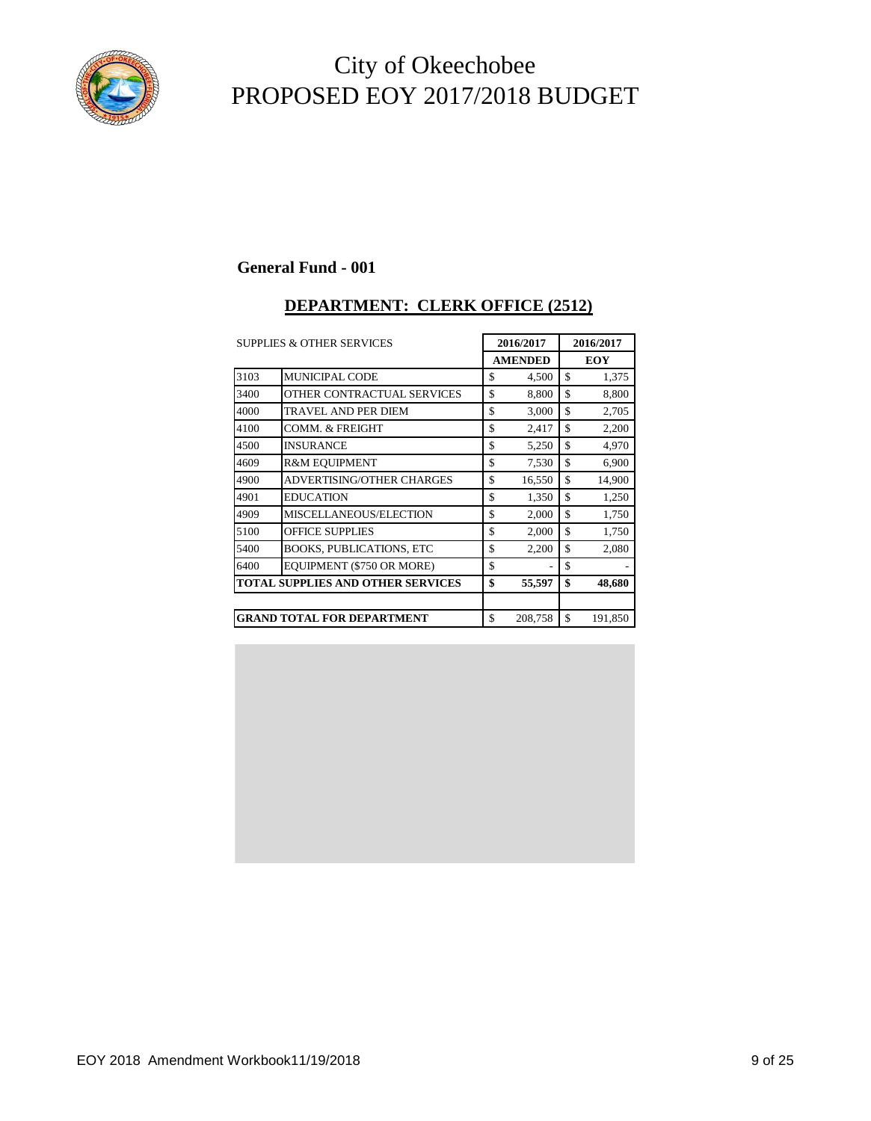

#### **General Fund - 001**

#### **DEPARTMENT: CLERK OFFICE (2512)**

| <b>SUPPLIES &amp; OTHER SERVICES</b> |                                          | 2016/2017      | 2016/2017     |            |  |
|--------------------------------------|------------------------------------------|----------------|---------------|------------|--|
|                                      |                                          | <b>AMENDED</b> |               | <b>EOY</b> |  |
| 3103                                 | <b>MUNICIPAL CODE</b>                    | \$<br>4,500    | \$            | 1,375      |  |
| 3400                                 | OTHER CONTRACTUAL SERVICES               | \$<br>8,800    | \$            | 8,800      |  |
| 4000                                 | TRAVEL AND PER DIEM                      | \$<br>3,000    | \$            | 2,705      |  |
| 4100                                 | <b>COMM. &amp; FREIGHT</b>               | \$<br>2,417    | \$            | 2,200      |  |
| 4500                                 | <b>INSURANCE</b>                         | \$<br>5,250    | \$            | 4,970      |  |
| 4609                                 | <b>R&amp;M EOUIPMENT</b>                 | \$<br>7,530    | \$            | 6,900      |  |
| 4900                                 | <b>ADVERTISING/OTHER CHARGES</b>         | \$<br>16,550   | $\mathcal{S}$ | 14,900     |  |
| 4901                                 | <b>EDUCATION</b>                         | \$<br>1,350    | \$            | 1,250      |  |
| 4909                                 | MISCELLANEOUS/ELECTION                   | \$<br>2,000    | \$            | 1,750      |  |
| 5100                                 | <b>OFFICE SUPPLIES</b>                   | \$<br>2,000    | \$            | 1,750      |  |
| 5400                                 | <b>BOOKS, PUBLICATIONS, ETC</b>          | \$<br>2,200    | \$            | 2,080      |  |
| 6400                                 | EQUIPMENT (\$750 OR MORE)                | \$             | \$            |            |  |
|                                      | <b>TOTAL SUPPLIES AND OTHER SERVICES</b> | \$<br>55,597   | \$            | 48,680     |  |
|                                      |                                          |                |               |            |  |
|                                      | <b>GRAND TOTAL FOR DEPARTMENT</b>        | \$<br>208,758  | \$            | 191,850    |  |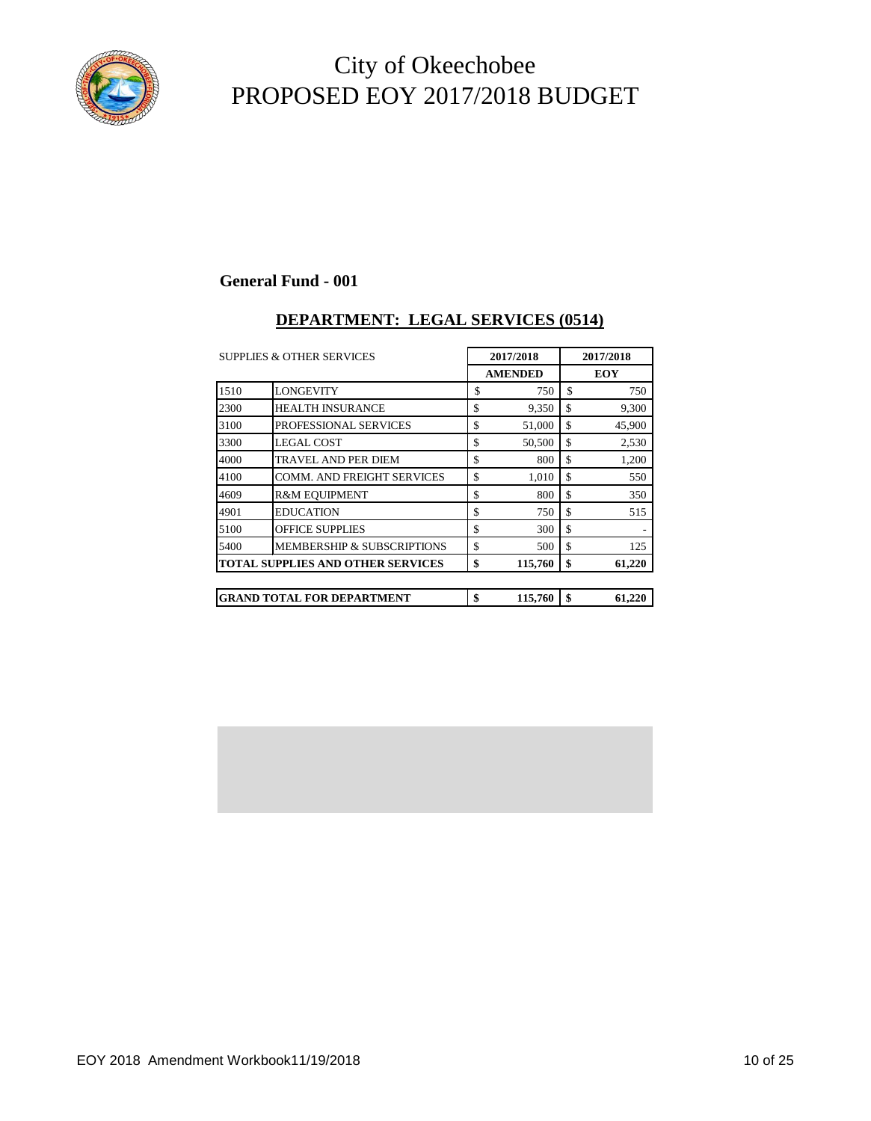

### **General Fund - 001**

### **DEPARTMENT: LEGAL SERVICES (0514)**

|      | <b>SUPPLIES &amp; OTHER SERVICES</b>     |    | 2017/2018      | 2017/2018 |            |  |
|------|------------------------------------------|----|----------------|-----------|------------|--|
|      |                                          |    | <b>AMENDED</b> |           | <b>EOY</b> |  |
| 1510 | <b>LONGEVITY</b>                         | \$ | 750            | \$        | 750        |  |
| 2300 | <b>HEALTH INSURANCE</b>                  | \$ | 9,350          | \$        | 9,300      |  |
| 3100 | PROFESSIONAL SERVICES                    | \$ | 51,000         | \$        | 45,900     |  |
| 3300 | <b>LEGAL COST</b>                        | \$ | 50,500         | \$        | 2,530      |  |
| 4000 | TRAVEL AND PER DIEM                      | \$ | 800            | \$        | 1,200      |  |
| 4100 | <b>COMM. AND FREIGHT SERVICES</b>        | \$ | 1,010          | \$        | 550        |  |
| 4609 | <b>R&amp;M EOUIPMENT</b>                 | \$ | 800            | \$        | 350        |  |
| 4901 | <b>EDUCATION</b>                         | \$ | 750            | \$        | 515        |  |
| 5100 | <b>OFFICE SUPPLIES</b>                   | \$ | 300            | \$        |            |  |
| 5400 | <b>MEMBERSHIP &amp; SUBSCRIPTIONS</b>    | \$ | 500            | \$        | 125        |  |
|      | <b>TOTAL SUPPLIES AND OTHER SERVICES</b> | \$ | 115,760        | \$        | 61,220     |  |
|      |                                          |    |                |           |            |  |
|      | <b>GRAND TOTAL FOR DEPARTMENT</b>        | \$ | 115,760        | \$        | 61,220     |  |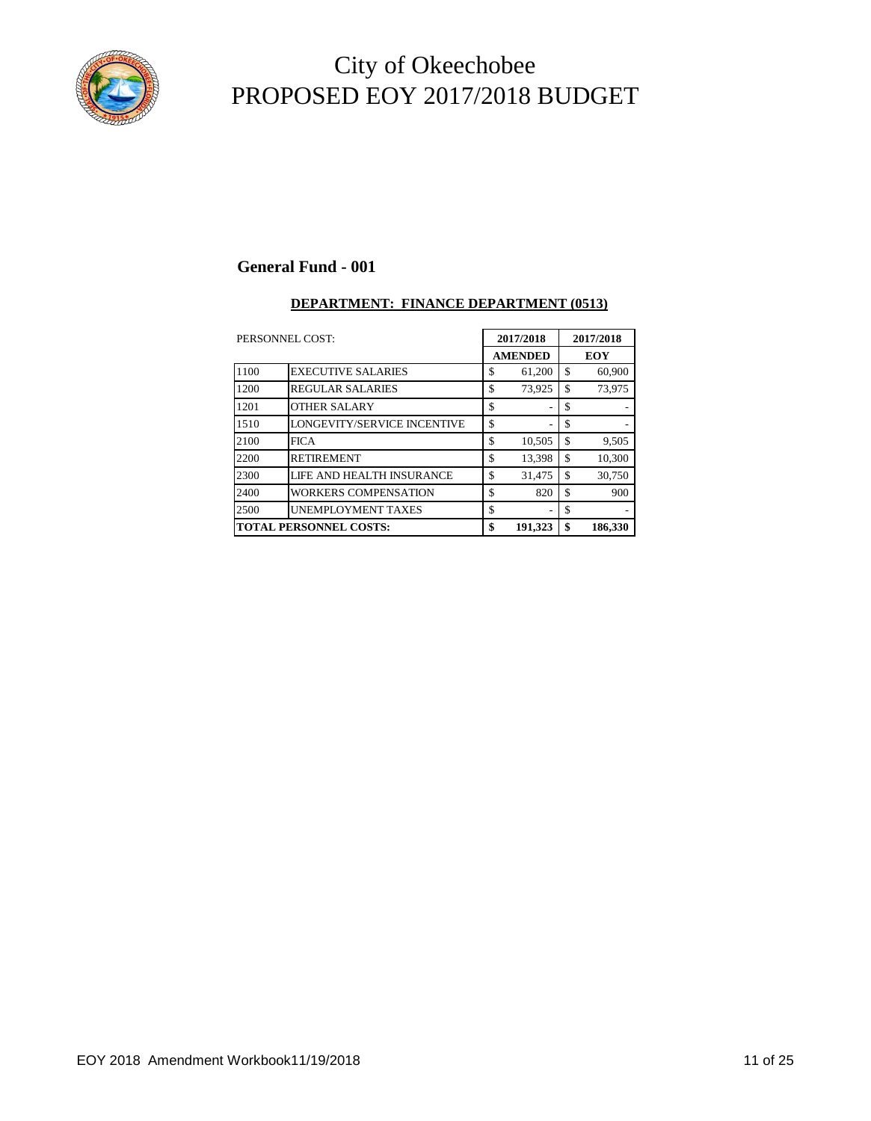

#### **General Fund - 001**

#### **DEPARTMENT: FINANCE DEPARTMENT (0513)**

| PERSONNEL COST: |                               |    | 2017/2018      |    | 2017/2018  |  |
|-----------------|-------------------------------|----|----------------|----|------------|--|
|                 |                               |    | <b>AMENDED</b> |    | <b>EOY</b> |  |
| 1100            | <b>EXECUTIVE SALARIES</b>     | \$ | 61,200         | \$ | 60,900     |  |
| 1200            | <b>REGULAR SALARIES</b>       | \$ | 73,925         | \$ | 73,975     |  |
| 1201            | <b>OTHER SALARY</b>           | \$ |                | \$ |            |  |
| 1510            | LONGEVITY/SERVICE INCENTIVE   | \$ |                | \$ |            |  |
| 2100            | <b>FICA</b>                   | \$ | 10,505         | \$ | 9,505      |  |
| 2200            | <b>RETIREMENT</b>             | \$ | 13,398         | \$ | 10,300     |  |
| 2300            | LIFE AND HEALTH INSURANCE     | \$ | 31,475         | \$ | 30,750     |  |
| 2400            | WORKERS COMPENSATION          | \$ | 820            | \$ | 900        |  |
| 2500            | <b>UNEMPLOYMENT TAXES</b>     | \$ |                | \$ |            |  |
|                 | <b>TOTAL PERSONNEL COSTS:</b> |    | 191,323        | \$ | 186,330    |  |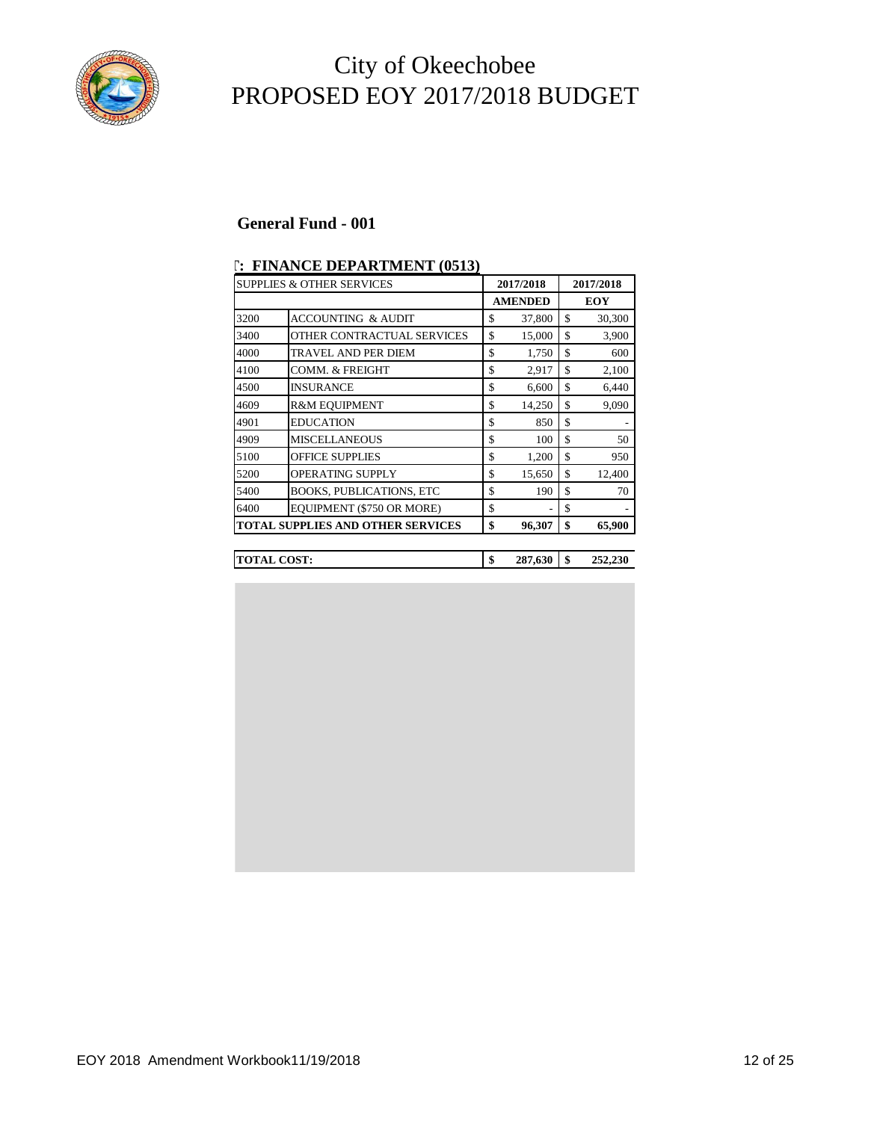

#### **General Fund - 001**

|      | <b>SUPPLIES &amp; OTHER SERVICES</b>     | 2017/2018      | 2017/2018     |
|------|------------------------------------------|----------------|---------------|
|      |                                          | <b>AMENDED</b> | <b>EOY</b>    |
| 3200 | <b>ACCOUNTING &amp; AUDIT</b>            | \$<br>37,800   | \$<br>30,300  |
| 3400 | OTHER CONTRACTUAL SERVICES               | \$<br>15,000   | \$<br>3,900   |
| 4000 | <b>TRAVEL AND PER DIEM</b>               | \$<br>1,750    | \$<br>600     |
| 4100 | COMM. & FREIGHT                          | \$<br>2,917    | \$<br>2,100   |
| 4500 | <b>INSURANCE</b>                         | \$<br>6,600    | \$<br>6,440   |
| 4609 | <b>R&amp;M EQUIPMENT</b>                 | \$<br>14,250   | \$<br>9,090   |
| 4901 | <b>EDUCATION</b>                         | \$<br>850      | \$            |
| 4909 | <b>MISCELLANEOUS</b>                     | \$<br>100      | \$<br>50      |
| 5100 | <b>OFFICE SUPPLIES</b>                   | \$<br>1,200    | \$<br>950     |
| 5200 | <b>OPERATING SUPPLY</b>                  | \$<br>15,650   | \$<br>12,400  |
| 5400 | <b>BOOKS, PUBLICATIONS, ETC</b>          | \$<br>190      | \$<br>70      |
| 6400 | EQUIPMENT (\$750 OR MORE)                | \$             | \$            |
|      | <b>TOTAL SUPPLIES AND OTHER SERVICES</b> | \$<br>96,307   | \$<br>65,900  |
|      |                                          |                |               |
|      | <b>TOTAL COST:</b>                       | \$<br>287,630  | \$<br>252,230 |

#### **DEPARTMENT: FINANCE DEPARTMENT (0513)**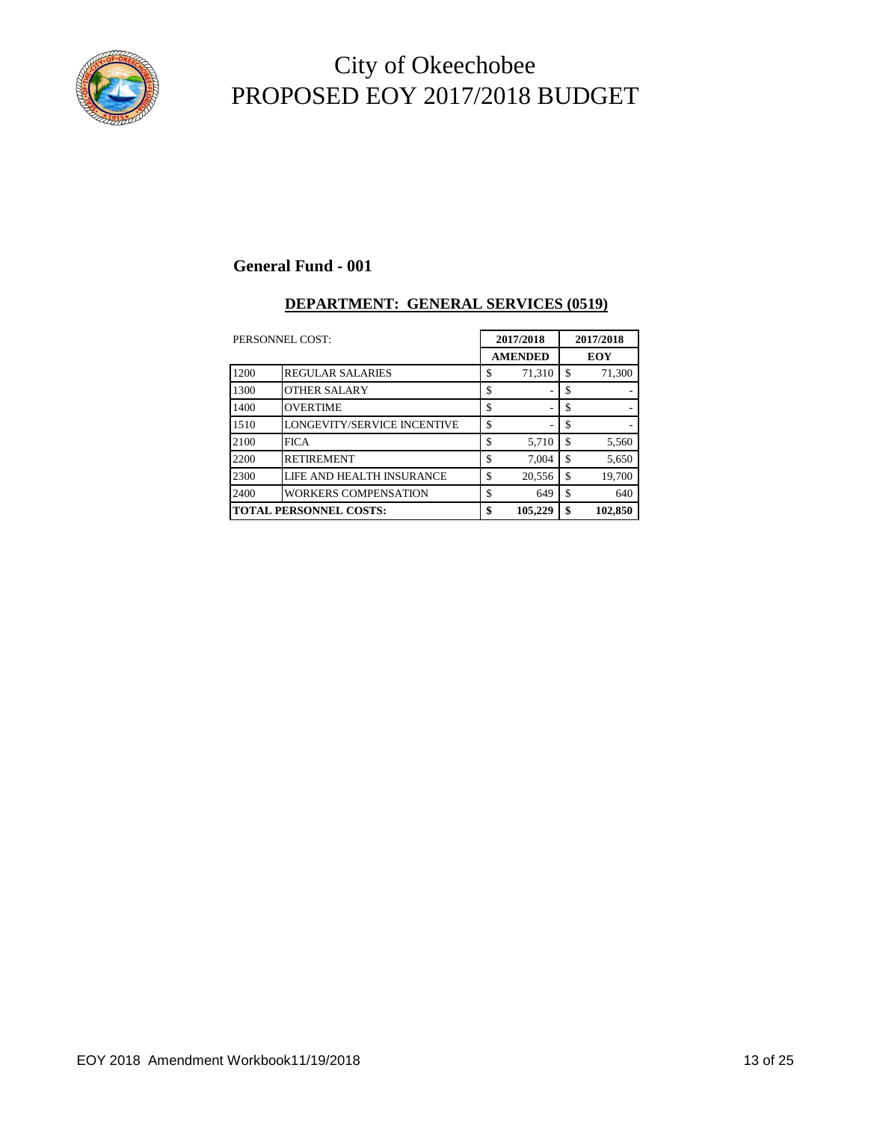

### **General Fund - 001**

#### **DEPARTMENT: GENERAL SERVICES (0519)**

| PERSONNEL COST:               |                             |    | 2017/2018<br><b>AMENDED</b> |    | 2017/2018  |  |
|-------------------------------|-----------------------------|----|-----------------------------|----|------------|--|
|                               |                             |    |                             |    | <b>EOY</b> |  |
| 1200                          | <b>REGULAR SALARIES</b>     | \$ | 71,310                      | \$ | 71,300     |  |
| 1300                          | <b>OTHER SALARY</b>         | \$ |                             | \$ |            |  |
| 1400                          | <b>OVERTIME</b>             | \$ |                             | \$ |            |  |
| 1510                          | LONGEVITY/SERVICE INCENTIVE | \$ |                             | \$ |            |  |
| 2100                          | <b>FICA</b>                 | \$ | 5,710                       | \$ | 5,560      |  |
| 2200                          | <b>RETIREMENT</b>           | \$ | 7.004                       | \$ | 5,650      |  |
| 2300                          | LIFE AND HEALTH INSURANCE   | \$ | 20,556                      | \$ | 19,700     |  |
| 2400                          | <b>WORKERS COMPENSATION</b> | \$ | 649                         | \$ | 640        |  |
| <b>TOTAL PERSONNEL COSTS:</b> |                             | \$ | 105,229                     | \$ | 102,850    |  |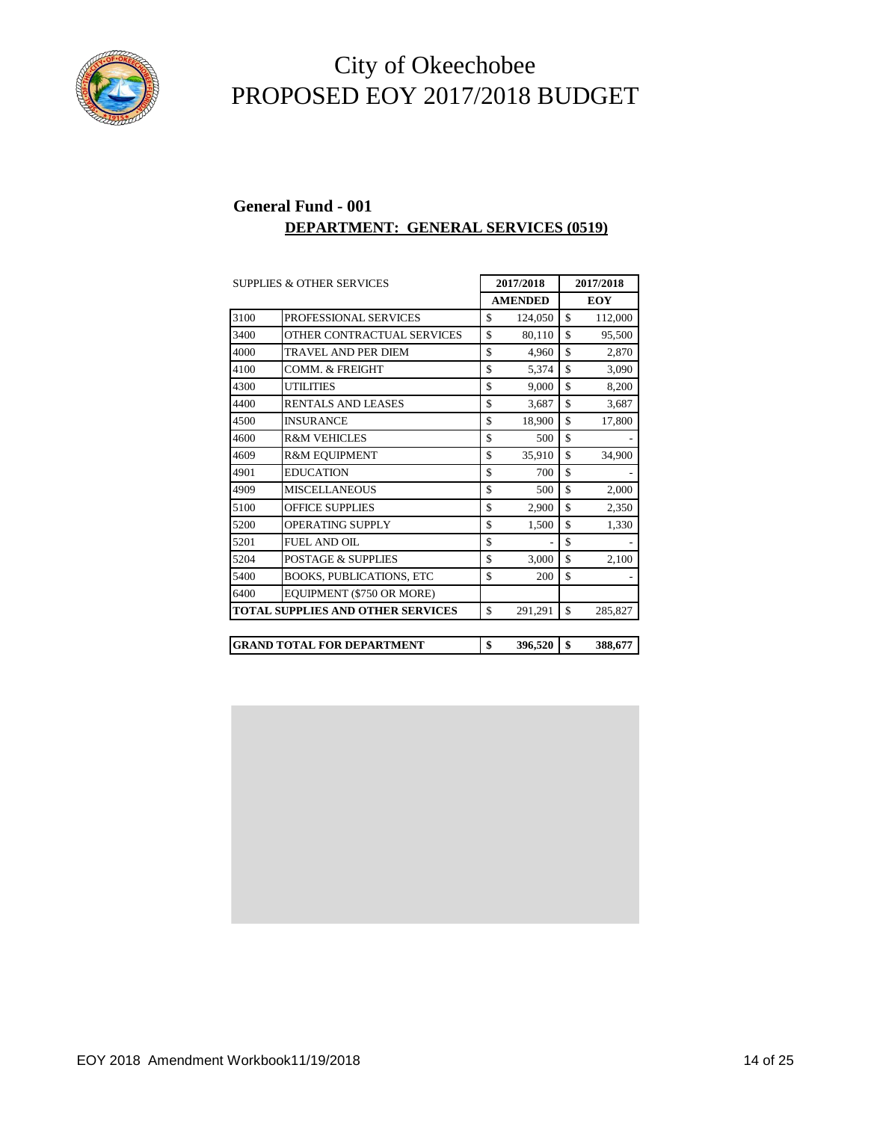

#### **General Fund - 001 DEPARTMENT: GENERAL SERVICES (0519)**

|      | <b>SUPPLIES &amp; OTHER SERVICES</b>     | 2017/2018 |                | 2017/2018 |         |  |            |
|------|------------------------------------------|-----------|----------------|-----------|---------|--|------------|
|      |                                          |           | <b>AMENDED</b> |           |         |  | <b>EOY</b> |
| 3100 | PROFESSIONAL SERVICES                    | \$        | 124,050        | \$        | 112,000 |  |            |
| 3400 | OTHER CONTRACTUAL SERVICES               | \$        | 80,110         | \$        | 95,500  |  |            |
| 4000 | <b>TRAVEL AND PER DIEM</b>               | \$        | 4,960          | \$        | 2,870   |  |            |
| 4100 | COMM. & FREIGHT                          | \$        | 5,374          | \$        | 3,090   |  |            |
| 4300 | <b>UTILITIES</b>                         | \$        | 9.000          | \$        | 8,200   |  |            |
| 4400 | <b>RENTALS AND LEASES</b>                | \$        | 3,687          | \$        | 3,687   |  |            |
| 4500 | <b>INSURANCE</b>                         | \$        | 18,900         | \$        | 17,800  |  |            |
| 4600 | <b>R&amp;M VEHICLES</b>                  | \$        | 500            | \$        |         |  |            |
| 4609 | <b>R&amp;M EQUIPMENT</b>                 | \$        | 35,910         | \$        | 34,900  |  |            |
| 4901 | <b>EDUCATION</b>                         | \$        | 700            | \$        |         |  |            |
| 4909 | <b>MISCELLANEOUS</b>                     | \$        | 500            | \$        | 2,000   |  |            |
| 5100 | <b>OFFICE SUPPLIES</b>                   | \$        | 2,900          | \$        | 2,350   |  |            |
| 5200 | OPERATING SUPPLY                         | \$        | 1,500          | \$        | 1,330   |  |            |
| 5201 | <b>FUEL AND OIL</b>                      | \$        |                | \$        |         |  |            |
| 5204 | <b>POSTAGE &amp; SUPPLIES</b>            | \$        | 3,000          | \$        | 2,100   |  |            |
| 5400 | <b>BOOKS, PUBLICATIONS, ETC</b>          | \$        | 200            | \$        |         |  |            |
| 6400 | EQUIPMENT (\$750 OR MORE)                |           |                |           |         |  |            |
|      | <b>TOTAL SUPPLIES AND OTHER SERVICES</b> | \$        | 291,291        | \$        | 285,827 |  |            |
|      | <b>GRAND TOTAL FOR DEPARTMENT</b>        | \$        | 396,520        | \$        | 388,677 |  |            |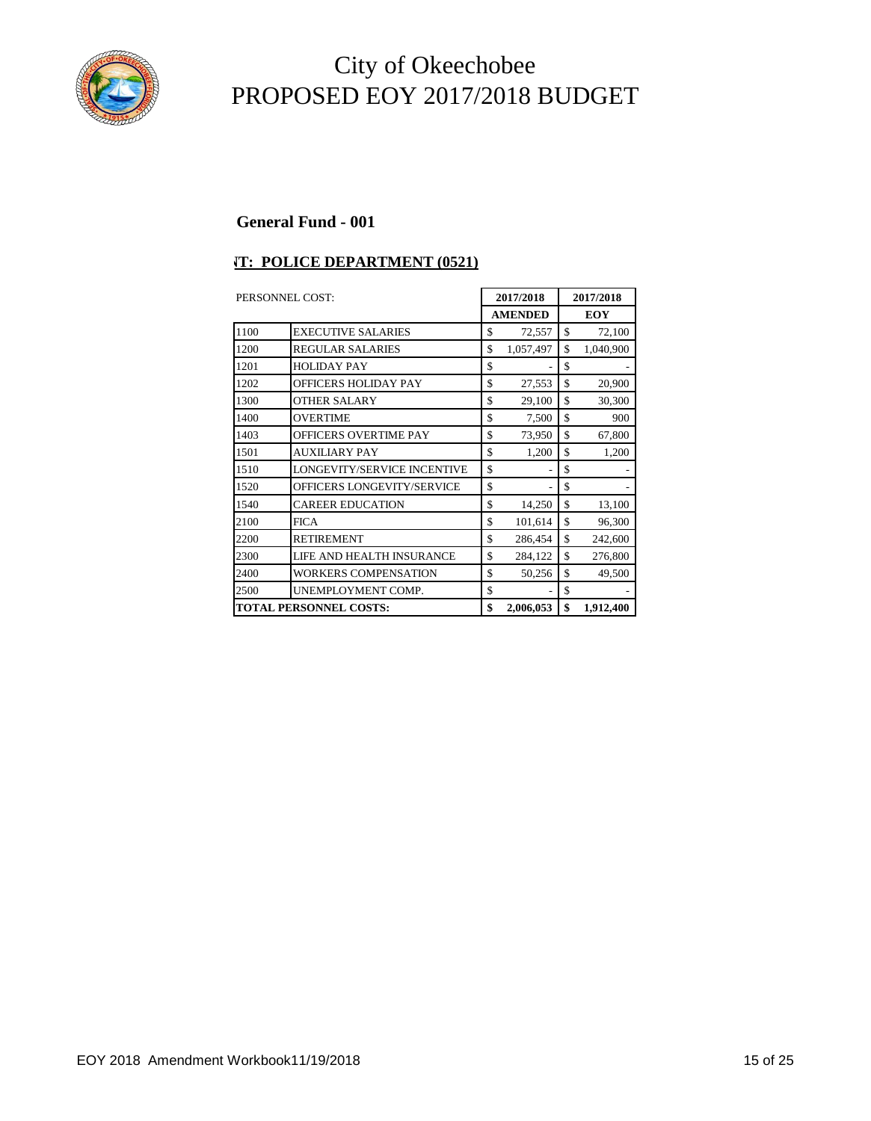

#### **General Fund - 001**

#### **T: POLICE DEPARTMENT (0521)**

| PERSONNEL COST: |                               |    | 2017/2018      | 2017/2018  |           |  |
|-----------------|-------------------------------|----|----------------|------------|-----------|--|
|                 |                               |    | <b>AMENDED</b> | <b>EOY</b> |           |  |
| 1100            | <b>EXECUTIVE SALARIES</b>     | \$ | 72,557         | \$         | 72,100    |  |
| 1200            | <b>REGULAR SALARIES</b>       | \$ | 1,057,497      | \$         | 1,040,900 |  |
| 1201            | <b>HOLIDAY PAY</b>            | \$ |                | \$         |           |  |
| 1202            | <b>OFFICERS HOLIDAY PAY</b>   | \$ | 27,553         | \$         | 20,900    |  |
| 1300            | <b>OTHER SALARY</b>           | \$ | 29,100         | \$         | 30,300    |  |
| 1400            | <b>OVERTIME</b>               | \$ | 7,500          | \$         | 900       |  |
| 1403            | <b>OFFICERS OVERTIME PAY</b>  | \$ | 73,950         | \$         | 67,800    |  |
| 1501            | <b>AUXILIARY PAY</b>          | \$ | 1,200          | \$         | 1,200     |  |
| 1510            | LONGEVITY/SERVICE INCENTIVE   | \$ |                | \$         |           |  |
| 1520            | OFFICERS LONGEVITY/SERVICE    | \$ |                | \$         |           |  |
| 1540            | <b>CAREER EDUCATION</b>       | \$ | 14,250         | \$         | 13,100    |  |
| 2100            | <b>FICA</b>                   | \$ | 101,614        | \$         | 96,300    |  |
| 2200            | <b>RETIREMENT</b>             | \$ | 286,454        | \$         | 242,600   |  |
| 2300            | LIFE AND HEALTH INSURANCE     | \$ | 284,122        | \$         | 276,800   |  |
| 2400            | <b>WORKERS COMPENSATION</b>   | \$ | 50,256         | \$         | 49,500    |  |
| 2500            | UNEMPLOYMENT COMP.            | \$ |                | \$         |           |  |
|                 | <b>TOTAL PERSONNEL COSTS:</b> |    | 2,006,053      | \$         | 1,912,400 |  |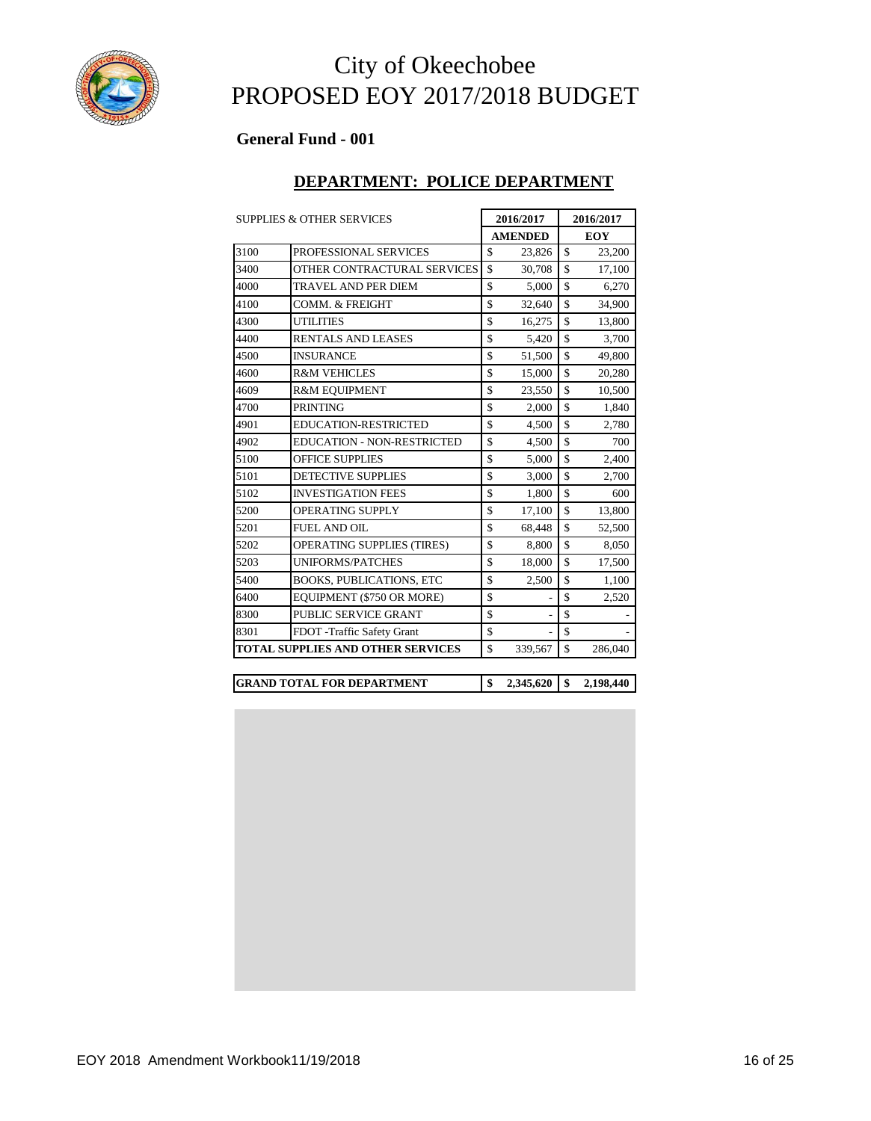

### **General Fund - 001**

#### **DEPARTMENT: POLICE DEPARTMENT**

|      | <b>SUPPLIES &amp; OTHER SERVICES</b>     |                    | 2016/2017      | 2016/2017          |            |  |
|------|------------------------------------------|--------------------|----------------|--------------------|------------|--|
|      |                                          |                    | <b>AMENDED</b> |                    | <b>EOY</b> |  |
| 3100 | PROFESSIONAL SERVICES                    | \$                 | 23,826         | \$                 | 23,200     |  |
| 3400 | OTHER CONTRACTURAL SERVICES              | $\mathbf{\hat{S}}$ | 30,708         | \$                 | 17,100     |  |
| 4000 | TRAVEL AND PER DIEM                      | \$                 | 5,000          | \$                 | 6,270      |  |
| 4100 | <b>COMM. &amp; FREIGHT</b>               | \$                 | 32,640         | \$                 | 34,900     |  |
| 4300 | <b>UTILITIES</b>                         | \$                 | 16,275         | \$                 | 13,800     |  |
| 4400 | <b>RENTALS AND LEASES</b>                | \$                 | 5,420          | \$                 | 3,700      |  |
| 4500 | <b>INSURANCE</b>                         | \$                 | 51,500         | \$                 | 49,800     |  |
| 4600 | <b>R&amp;M VEHICLES</b>                  | \$                 | 15,000         | \$                 | 20,280     |  |
| 4609 | <b>R&amp;M EQUIPMENT</b>                 | \$                 | 23,550         | \$                 | 10,500     |  |
| 4700 | <b>PRINTING</b>                          | \$                 | 2,000          | \$                 | 1,840      |  |
| 4901 | <b>EDUCATION-RESTRICTED</b>              | \$                 | 4,500          | \$                 | 2,780      |  |
| 4902 | <b>EDUCATION - NON-RESTRICTED</b>        | \$                 | 4,500          | \$                 | 700        |  |
| 5100 | <b>OFFICE SUPPLIES</b>                   | \$                 | 5,000          | \$                 | 2,400      |  |
| 5101 | <b>DETECTIVE SUPPLIES</b>                | \$                 | 3,000          | $\mathbf{\hat{S}}$ | 2,700      |  |
| 5102 | <b>INVESTIGATION FEES</b>                | \$                 | 1.800          | \$                 | 600        |  |
| 5200 | <b>OPERATING SUPPLY</b>                  | \$                 | 17,100         | \$                 | 13,800     |  |
| 5201 | <b>FUEL AND OIL</b>                      | \$                 | 68,448         | \$                 | 52,500     |  |
| 5202 | <b>OPERATING SUPPLIES (TIRES)</b>        | \$                 | 8,800          | \$                 | 8,050      |  |
| 5203 | <b>UNIFORMS/PATCHES</b>                  | \$                 | 18,000         | $\mathbf{\hat{S}}$ | 17,500     |  |
| 5400 | <b>BOOKS, PUBLICATIONS, ETC</b>          | \$                 | 2,500          | \$                 | 1,100      |  |
| 6400 | EQUIPMENT (\$750 OR MORE)                | \$                 |                | \$                 | 2,520      |  |
| 8300 | PUBLIC SERVICE GRANT                     | \$                 | $\overline{a}$ | \$                 |            |  |
| 8301 | FDOT -Traffic Safety Grant               | \$                 |                | \$                 |            |  |
|      | <b>TOTAL SUPPLIES AND OTHER SERVICES</b> | \$                 | 339,567        | \$                 | 286,040    |  |

| <b>IGRAND TOTAL FOR DEPARTMENT</b> |  | 2,198,440 |
|------------------------------------|--|-----------|
|                                    |  |           |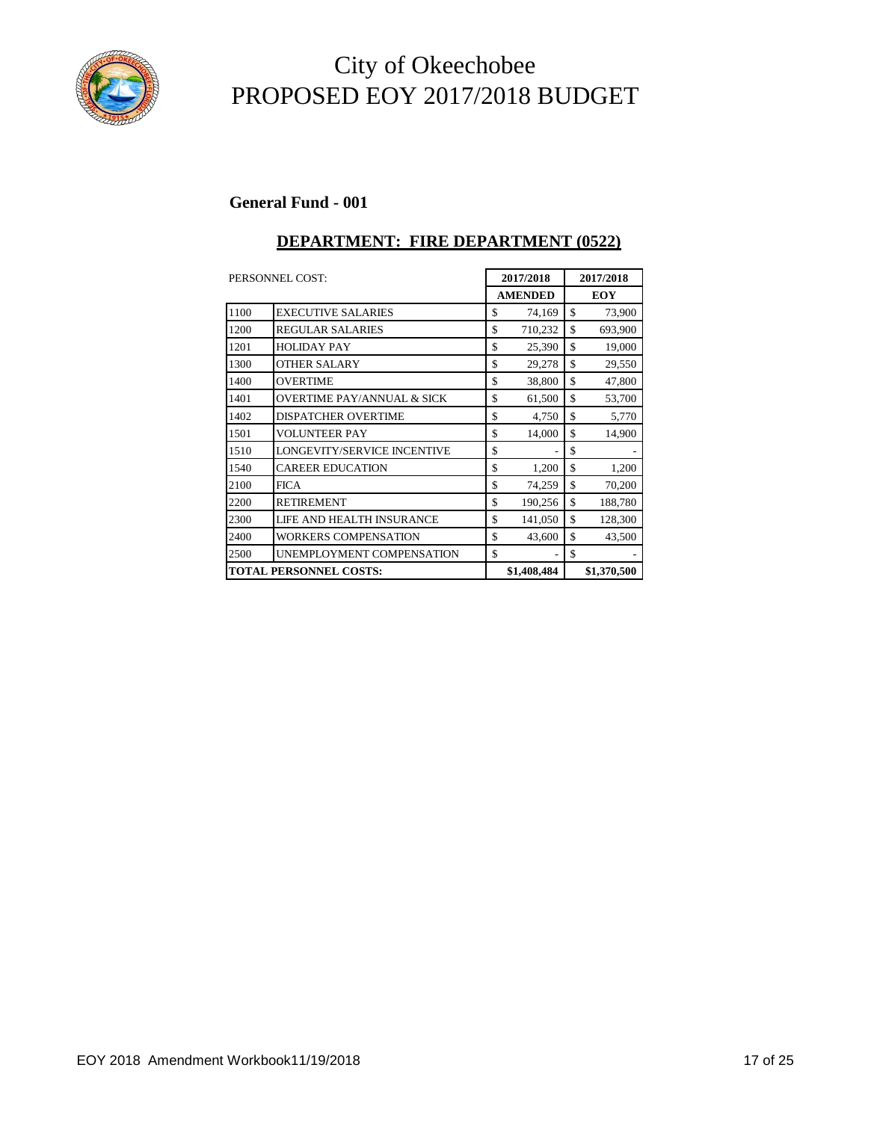

#### **General Fund - 001**

#### **DEPARTMENT: FIRE DEPARTMENT (0522)**

|      | 2017/2018<br>PERSONNEL COST:          |    |                | 2017/2018 |             |  |
|------|---------------------------------------|----|----------------|-----------|-------------|--|
|      |                                       |    | <b>AMENDED</b> |           | <b>EOY</b>  |  |
| 1100 | <b>EXECUTIVE SALARIES</b>             | \$ | 74,169         | \$        | 73,900      |  |
| 1200 | <b>REGULAR SALARIES</b>               | \$ | 710,232        | \$        | 693,900     |  |
| 1201 | <b>HOLIDAY PAY</b>                    | \$ | 25,390         | \$        | 19,000      |  |
| 1300 | <b>OTHER SALARY</b>                   | \$ | 29,278         | \$        | 29,550      |  |
| 1400 | <b>OVERTIME</b>                       | \$ | 38,800         | \$        | 47,800      |  |
| 1401 | <b>OVERTIME PAY/ANNUAL &amp; SICK</b> | \$ | 61,500         | \$        | 53,700      |  |
| 1402 | <b>DISPATCHER OVERTIME</b>            | \$ | 4,750          | \$        | 5,770       |  |
| 1501 | <b>VOLUNTEER PAY</b>                  | \$ | 14,000         | \$        | 14,900      |  |
| 1510 | LONGEVITY/SERVICE INCENTIVE           | \$ |                | \$        |             |  |
| 1540 | <b>CAREER EDUCATION</b>               | \$ | 1,200          | \$        | 1,200       |  |
| 2100 | <b>FICA</b>                           | \$ | 74,259         | \$        | 70,200      |  |
| 2200 | <b>RETIREMENT</b>                     | \$ | 190,256        | \$        | 188,780     |  |
| 2300 | LIFE AND HEALTH INSURANCE             | \$ | 141,050        | \$        | 128,300     |  |
| 2400 | WORKERS COMPENSATION                  | \$ | 43,600         | \$        | 43,500      |  |
| 2500 | UNEMPLOYMENT COMPENSATION             | \$ |                | \$        |             |  |
|      | <b>TOTAL PERSONNEL COSTS:</b>         |    | \$1,408,484    |           | \$1,370,500 |  |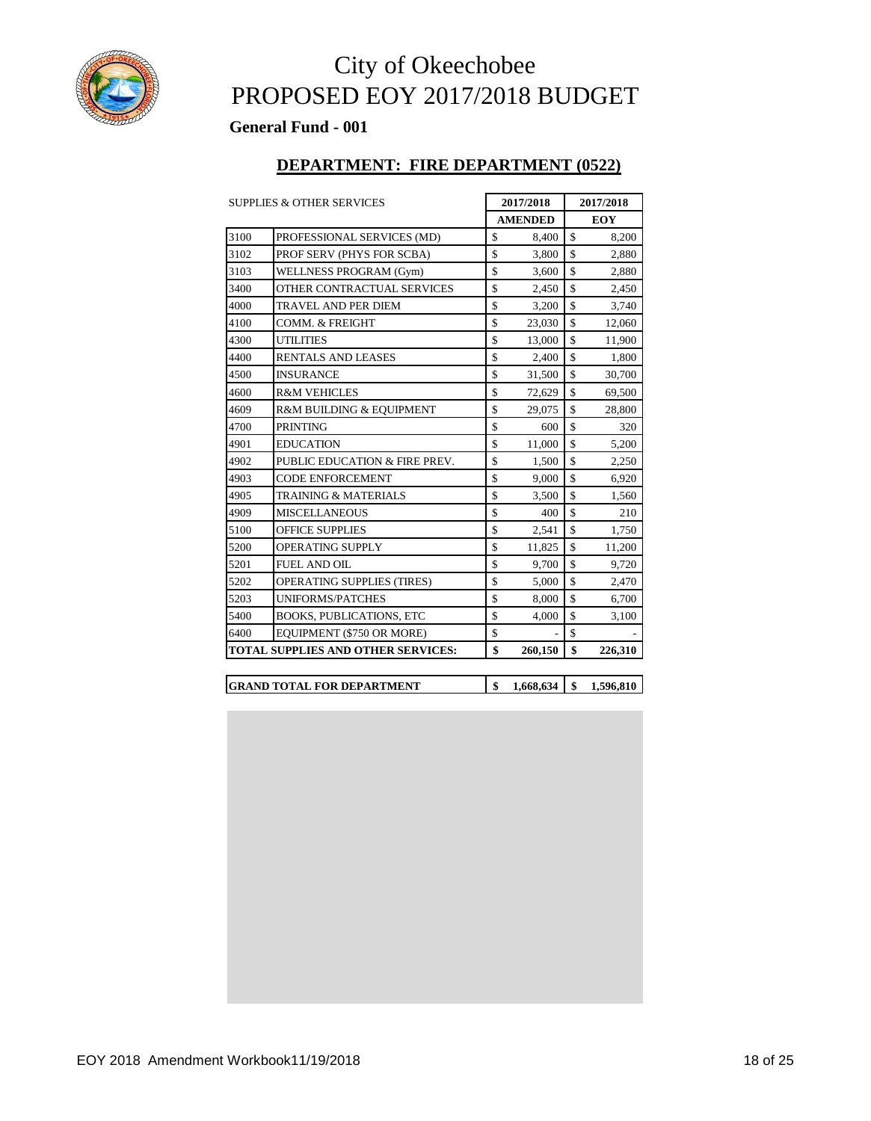

#### **General Fund - 001**

#### **DEPARTMENT: FIRE DEPARTMENT (0522)**

|      | <b>SUPPLIES &amp; OTHER SERVICES</b>      |                    | 2017/2018      |                    | 2017/2018  |
|------|-------------------------------------------|--------------------|----------------|--------------------|------------|
|      |                                           |                    | <b>AMENDED</b> |                    | <b>EOY</b> |
| 3100 | PROFESSIONAL SERVICES (MD)                | \$                 | 8,400          | \$                 | 8,200      |
| 3102 | PROF SERV (PHYS FOR SCBA)                 | \$                 | 3,800          | \$                 | 2,880      |
| 3103 | WELLNESS PROGRAM (Gym)                    | \$                 | 3,600          | \$                 | 2,880      |
| 3400 | OTHER CONTRACTUAL SERVICES                | \$                 | 2,450          | \$                 | 2,450      |
| 4000 | <b>TRAVEL AND PER DIEM</b>                | $\mathbf{\hat{S}}$ | 3,200          | $\mathbf{\hat{S}}$ | 3,740      |
| 4100 | <b>COMM. &amp; FREIGHT</b>                | $\mathbf{\hat{S}}$ | 23,030         | \$                 | 12,060     |
| 4300 | <b>UTILITIES</b>                          | \$                 | 13,000         | \$                 | 11,900     |
| 4400 | <b>RENTALS AND LEASES</b>                 | $\mathbf{\hat{S}}$ | 2,400          | $\mathbf{\hat{S}}$ | 1,800      |
| 4500 | <b>INSURANCE</b>                          | \$                 | 31,500         | \$                 | 30,700     |
| 4600 | <b>R&amp;M VEHICLES</b>                   | \$                 | 72,629         | \$                 | 69,500     |
| 4609 | R&M BUILDING & EQUIPMENT                  | $\mathbf{\hat{S}}$ | 29,075         | $\mathbf{\hat{S}}$ | 28,800     |
| 4700 | <b>PRINTING</b>                           | \$                 | 600            | \$                 | 320        |
| 4901 | <b>EDUCATION</b>                          | \$                 | 11,000         | \$                 | 5,200      |
| 4902 | PUBLIC EDUCATION & FIRE PREV.             | \$                 | 1,500          | \$                 | 2,250      |
| 4903 | <b>CODE ENFORCEMENT</b>                   | \$                 | 9,000          | \$                 | 6,920      |
| 4905 | <b>TRAINING &amp; MATERIALS</b>           | \$                 | 3,500          | \$                 | 1,560      |
| 4909 | <b>MISCELLANEOUS</b>                      | \$                 | 400            | $\mathbf{\hat{S}}$ | 210        |
| 5100 | <b>OFFICE SUPPLIES</b>                    | \$                 | 2,541          | \$                 | 1,750      |
| 5200 | <b>OPERATING SUPPLY</b>                   | \$                 | 11,825         | \$                 | 11,200     |
| 5201 | <b>FUEL AND OIL</b>                       | $\mathbf{\hat{S}}$ | 9,700          | $\mathbf{\hat{S}}$ | 9,720      |
| 5202 | <b>OPERATING SUPPLIES (TIRES)</b>         | \$                 | 5,000          | \$                 | 2,470      |
| 5203 | <b>UNIFORMS/PATCHES</b>                   | \$                 | 8,000          | $\mathbf{\hat{S}}$ | 6,700      |
| 5400 | <b>BOOKS, PUBLICATIONS, ETC</b>           | \$                 | 4,000          | $\mathbf{\hat{S}}$ | 3,100      |
| 6400 | EQUIPMENT (\$750 OR MORE)                 | \$                 |                | \$                 |            |
|      | <b>TOTAL SUPPLIES AND OTHER SERVICES:</b> | \$                 | 260,150        | \$                 | 226,310    |

| <b>IGRAND TOTAL FOR DEPARTMENT</b> |  | 1.596.810 |
|------------------------------------|--|-----------|
|                                    |  |           |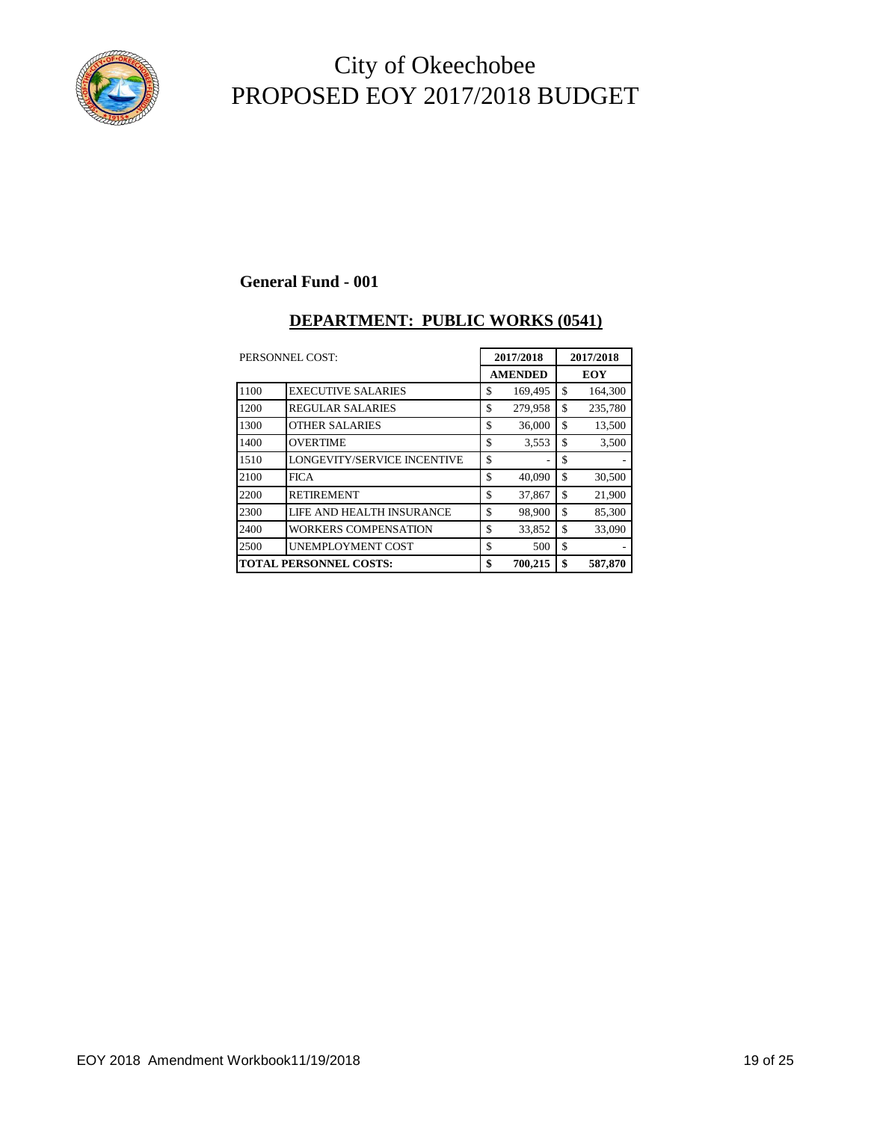

#### **General Fund - 001**

#### **DEPARTMENT: PUBLIC WORKS (0541)**

| PERSONNEL COST: |                               | 2017/2018      | 2017/2018 |            |  |
|-----------------|-------------------------------|----------------|-----------|------------|--|
|                 |                               | <b>AMENDED</b> |           | <b>EOY</b> |  |
| 1100            | <b>EXECUTIVE SALARIES</b>     | \$<br>169,495  | \$        | 164,300    |  |
| 1200            | <b>REGULAR SALARIES</b>       | \$<br>279,958  | \$        | 235,780    |  |
| 1300            | <b>OTHER SALARIES</b>         | \$<br>36,000   | \$        | 13,500     |  |
| 1400            | <b>OVERTIME</b>               | \$<br>3.553    | \$        | 3,500      |  |
| 1510            | LONGEVITY/SERVICE INCENTIVE   | \$<br>۰        | \$        |            |  |
| 2100            | <b>FICA</b>                   | \$<br>40,090   | \$        | 30,500     |  |
| 2200            | <b>RETIREMENT</b>             | \$<br>37,867   | \$        | 21,900     |  |
| 2300            | LIFE AND HEALTH INSURANCE     | \$<br>98,900   | \$        | 85,300     |  |
| 2400            | <b>WORKERS COMPENSATION</b>   | \$<br>33,852   | \$        | 33,090     |  |
| 2500            | UNEMPLOYMENT COST             | \$<br>500      | \$        |            |  |
|                 | <b>TOTAL PERSONNEL COSTS:</b> | \$<br>700,215  | \$        | 587,870    |  |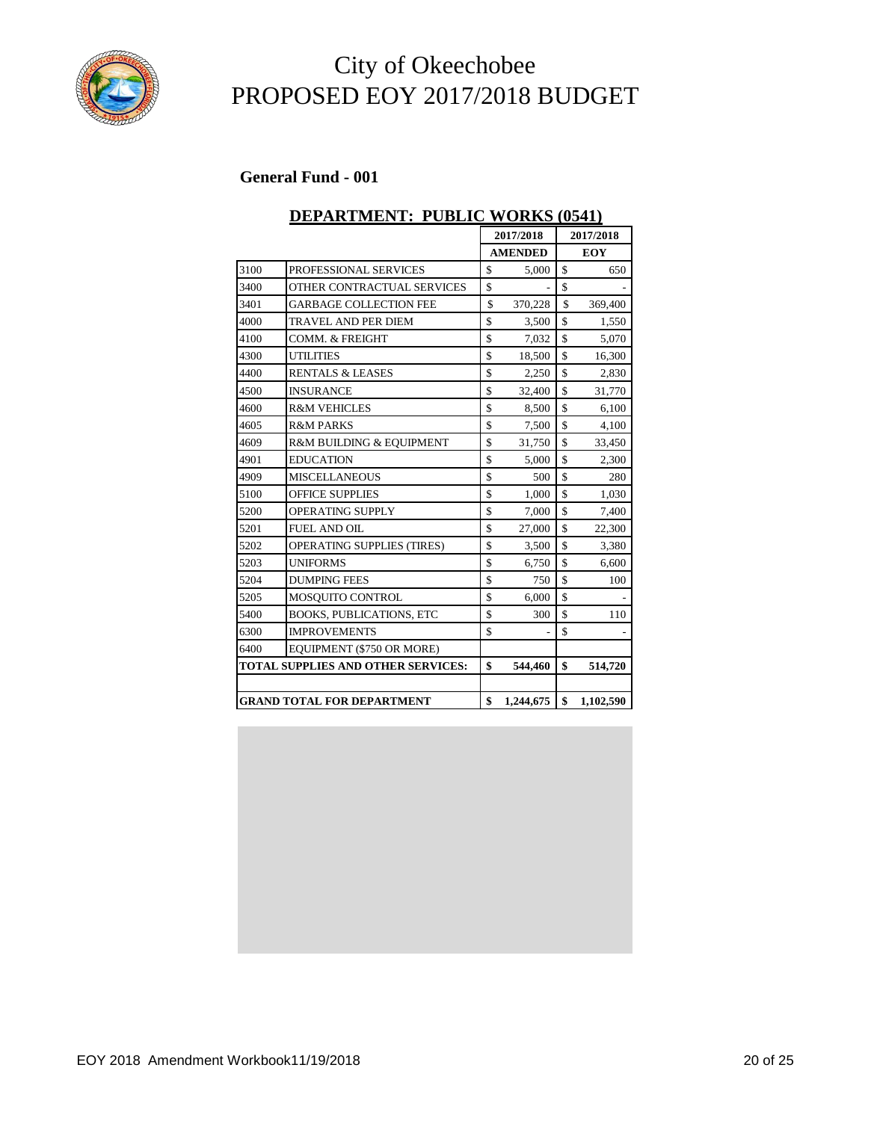

#### **General Fund - 001**

### **DEPARTMENT: PUBLIC WORKS (0541) 2017/2018 2017/2018 AMENDED EOY**

|      |                                           | <b>AMENDED</b>  |    | <b>EOY</b> |  |
|------|-------------------------------------------|-----------------|----|------------|--|
| 3100 | PROFESSIONAL SERVICES                     | \$<br>5,000     | \$ | 650        |  |
| 3400 | OTHER CONTRACTUAL SERVICES                | \$              | \$ |            |  |
| 3401 | <b>GARBAGE COLLECTION FEE</b>             | \$<br>370,228   | \$ | 369,400    |  |
| 4000 | <b>TRAVEL AND PER DIEM</b>                | \$<br>3,500     | \$ | 1,550      |  |
| 4100 | <b>COMM. &amp; FREIGHT</b>                | \$<br>7,032     | \$ | 5,070      |  |
| 4300 | <b>UTILITIES</b>                          | \$<br>18,500    | \$ | 16,300     |  |
| 4400 | <b>RENTALS &amp; LEASES</b>               | \$<br>2,250     | \$ | 2,830      |  |
| 4500 | <b>INSURANCE</b>                          | \$<br>32,400    | \$ | 31,770     |  |
| 4600 | <b>R&amp;M VEHICLES</b>                   | \$<br>8,500     | \$ | 6,100      |  |
| 4605 | <b>R&amp;M PARKS</b>                      | \$<br>7,500     | \$ | 4,100      |  |
| 4609 | R&M BUILDING & EQUIPMENT                  | \$<br>31,750    | \$ | 33,450     |  |
| 4901 | <b>EDUCATION</b>                          | \$<br>5,000     | \$ | 2,300      |  |
| 4909 | <b>MISCELLANEOUS</b>                      | \$<br>500       | \$ | 280        |  |
| 5100 | <b>OFFICE SUPPLIES</b>                    | \$<br>1,000     | \$ | 1,030      |  |
| 5200 | <b>OPERATING SUPPLY</b>                   | \$<br>7,000     | \$ | 7,400      |  |
| 5201 | <b>FUEL AND OIL</b>                       | \$<br>27,000    | \$ | 22,300     |  |
| 5202 | <b>OPERATING SUPPLIES (TIRES)</b>         | \$<br>3,500     | \$ | 3,380      |  |
| 5203 | <b>UNIFORMS</b>                           | \$<br>6,750     | \$ | 6,600      |  |
| 5204 | <b>DUMPING FEES</b>                       | \$<br>750       | \$ | 100        |  |
| 5205 | MOSQUITO CONTROL                          | \$<br>6,000     | \$ |            |  |
| 5400 | <b>BOOKS, PUBLICATIONS, ETC</b>           | \$<br>300       | \$ | 110        |  |
| 6300 | <b>IMPROVEMENTS</b>                       | \$              | \$ |            |  |
| 6400 | EQUIPMENT (\$750 OR MORE)                 |                 |    |            |  |
|      | <b>TOTAL SUPPLIES AND OTHER SERVICES:</b> | \$<br>544,460   | \$ | 514,720    |  |
|      |                                           |                 |    |            |  |
|      | <b>GRAND TOTAL FOR DEPARTMENT</b>         | \$<br>1,244,675 | \$ | 1,102,590  |  |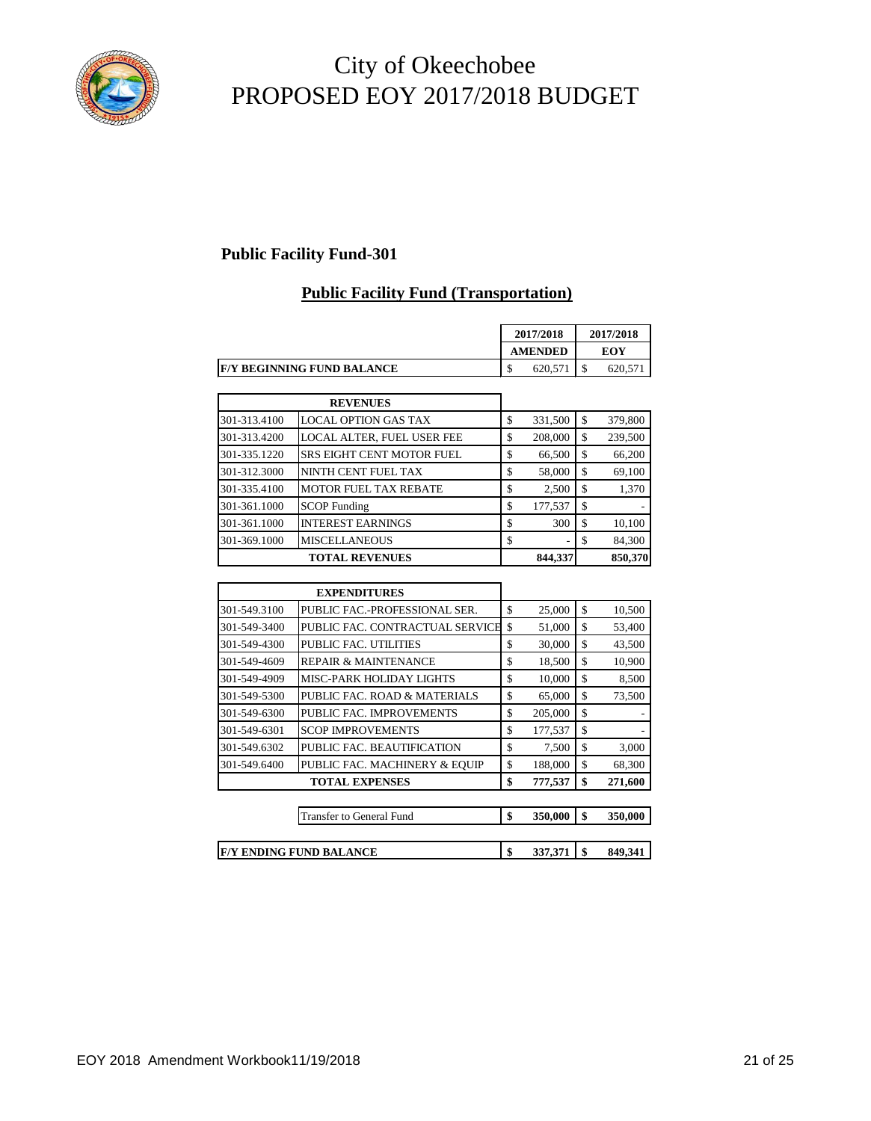

### **Public Facility Fund-301**

### **Public Facility Fund (Transportation)**

|                                    |   | 2017/2018      | 2017/2018 |         |
|------------------------------------|---|----------------|-----------|---------|
|                                    |   | <b>AMENDED</b> |           | EOY     |
| <b>IF/Y BEGINNING FUND BALANCE</b> | D | 620.571        |           | 620.571 |

|              | <b>REVENUES</b>                  |               |    |         |
|--------------|----------------------------------|---------------|----|---------|
| 301-313.4100 | <b>LOCAL OPTION GAS TAX</b>      | \$<br>331,500 | S  | 379,800 |
| 301-313.4200 | LOCAL ALTER, FUEL USER FEE       | \$<br>208,000 | \$ | 239,500 |
| 301-335.1220 | <b>SRS EIGHT CENT MOTOR FUEL</b> | \$<br>66,500  |    | 66,200  |
| 301-312.3000 | NINTH CENT FUEL TAX              | \$<br>58,000  | S  | 69,100  |
| 301-335.4100 | <b>MOTOR FUEL TAX REBATE</b>     | \$<br>2,500   | S  | 1,370   |
| 301-361.1000 | <b>SCOP</b> Funding              | \$<br>177,537 | S  |         |
| 301-361.1000 | <b>INTEREST EARNINGS</b>         | \$<br>300     |    | 10,100  |
| 301-369.1000 | <b>MISCELLANEOUS</b>             | \$<br>۰       | S  | 84.300  |
|              | <b>TOTAL REVENUES</b>            | 844,337       |    | 850,370 |

|              | <b>EXPENDITURES</b>             |               |               |
|--------------|---------------------------------|---------------|---------------|
| 301-549.3100 | PUBLIC FAC.-PROFESSIONAL SER.   | \$<br>25,000  | \$<br>10,500  |
| 301-549-3400 | PUBLIC FAC. CONTRACTUAL SERVICE | \$<br>51,000  | \$<br>53,400  |
| 301-549-4300 | PUBLIC FAC. UTILITIES           | \$<br>30,000  | \$<br>43,500  |
| 301-549-4609 | <b>REPAIR &amp; MAINTENANCE</b> | \$<br>18,500  | \$<br>10,900  |
| 301-549-4909 | MISC-PARK HOLIDAY LIGHTS        | \$<br>10,000  | \$<br>8,500   |
| 301-549-5300 | PUBLIC FAC. ROAD & MATERIALS    | \$<br>65,000  | \$<br>73,500  |
| 301-549-6300 | PUBLIC FAC. IMPROVEMENTS        | \$<br>205,000 | \$            |
| 301-549-6301 | <b>SCOP IMPROVEMENTS</b>        | \$<br>177,537 | \$            |
| 301-549.6302 | PUBLIC FAC. BEAUTIFICATION      | \$<br>7,500   | \$<br>3,000   |
| 301-549.6400 | PUBLIC FAC. MACHINERY & EQUIP   | \$<br>188,000 | \$<br>68,300  |
|              | <b>TOTAL EXPENSES</b>           | \$<br>777,537 | \$<br>271,600 |
|              |                                 |               |               |
|              | Transfer to General Fund        | \$<br>350,000 | \$<br>350,000 |
|              |                                 |               |               |
|              | <b>F/Y ENDING FUND BALANCE</b>  | \$<br>337,371 | \$<br>849,341 |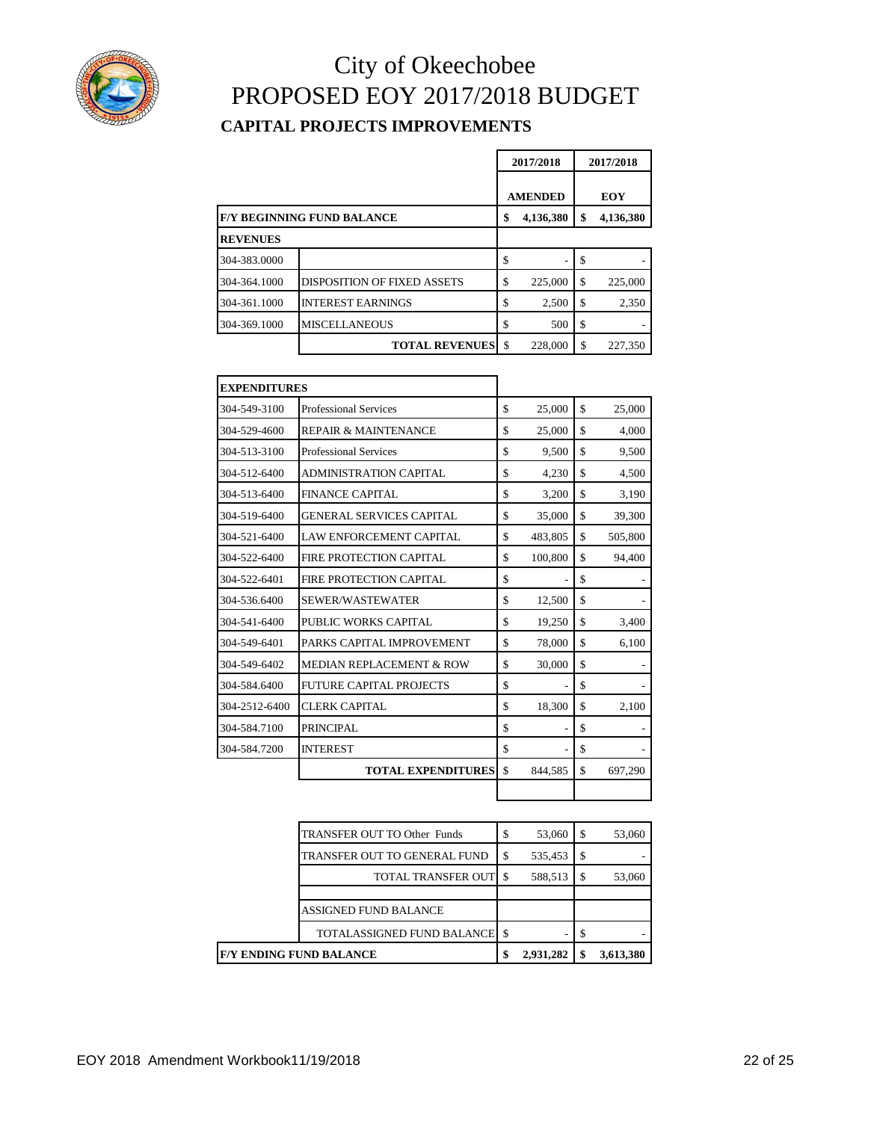

### City of Okeechobee PROPOSED EOY 2017/2018 BUDGET **CAPITAL PROJECTS IMPROVEMENTS**

|                 |                                   | 2017/2018       | 2017/2018 |            |  |
|-----------------|-----------------------------------|-----------------|-----------|------------|--|
|                 |                                   | <b>AMENDED</b>  |           | <b>EOY</b> |  |
|                 | <b>F/Y BEGINNING FUND BALANCE</b> | \$<br>4,136,380 | \$        | 4,136,380  |  |
| <b>REVENUES</b> |                                   |                 |           |            |  |
| 304-383.0000    |                                   | \$              | S         |            |  |
| 304-364.1000    | DISPOSITION OF FIXED ASSETS       | \$<br>225,000   | \$        | 225,000    |  |
| 304-361.1000    | <b>INTEREST EARNINGS</b>          | \$<br>2,500     | \$        | 2,350      |  |
| 304-369.1000    | <b>MISCELLANEOUS</b>              | \$<br>500       | \$        |            |  |
|                 | <b>TOTAL REVENUES</b>             | \$<br>228,000   | S         | 227,350    |  |

| <b>EXPENDITURES</b> |                                     |               |               |
|---------------------|-------------------------------------|---------------|---------------|
| 304-549-3100        | <b>Professional Services</b>        | \$<br>25,000  | \$<br>25,000  |
| 304-529-4600        | <b>REPAIR &amp; MAINTENANCE</b>     | \$<br>25,000  | \$<br>4,000   |
| 304-513-3100        | <b>Professional Services</b>        | \$<br>9,500   | \$<br>9,500   |
| 304-512-6400        | <b>ADMINISTRATION CAPITAL</b>       | \$<br>4,230   | \$<br>4,500   |
| 304-513-6400        | <b>FINANCE CAPITAL</b>              | \$<br>3,200   | \$<br>3,190   |
| 304-519-6400        | <b>GENERAL SERVICES CAPITAL</b>     | \$<br>35,000  | \$<br>39,300  |
| 304-521-6400        | <b>LAW ENFORCEMENT CAPITAL</b>      | \$<br>483,805 | \$<br>505,800 |
| 304-522-6400        | FIRE PROTECTION CAPITAL             | \$<br>100,800 | \$<br>94,400  |
| 304-522-6401        | FIRE PROTECTION CAPITAL             | \$            | \$            |
| 304-536.6400        | SEWER/WASTEWATER                    | \$<br>12,500  | \$            |
| 304-541-6400        | PUBLIC WORKS CAPITAL                | \$<br>19,250  | \$<br>3,400   |
| 304-549-6401        | PARKS CAPITAL IMPROVEMENT           | \$<br>78,000  | \$<br>6,100   |
| 304-549-6402        | <b>MEDIAN REPLACEMENT &amp; ROW</b> | \$<br>30,000  | \$            |
| 304-584.6400        | <b>FUTURE CAPITAL PROJECTS</b>      | \$            | \$            |
| 304-2512-6400       | <b>CLERK CAPITAL</b>                | \$<br>18,300  | \$<br>2,100   |
| 304-584.7100        | <b>PRINCIPAL</b>                    | \$<br>ä,      | \$            |
| 304-584.7200        | <b>INTEREST</b>                     | \$<br>٠       | \$            |
|                     | <b>TOTAL EXPENDITURES</b>           | \$<br>844.585 | \$<br>697.290 |
|                     |                                     |               |               |

| <b>F/Y ENDING FUND BALANCE</b> |                                    |   | 2,931,282 | \$ | 3,613,380 |
|--------------------------------|------------------------------------|---|-----------|----|-----------|
|                                | TOTALASSIGNED FUND BALANCE         |   |           |    |           |
|                                | ASSIGNED FUND BALANCE              |   |           |    |           |
|                                |                                    |   |           |    |           |
|                                | TOTAL TRANSFER OUT                 |   | 588,513   | -S | 53,060    |
|                                | TRANSFER OUT TO GENERAL FUND       | S | 535,453   | -S |           |
|                                | <b>TRANSFER OUT TO Other Funds</b> |   | 53,060    | S  | 53,060    |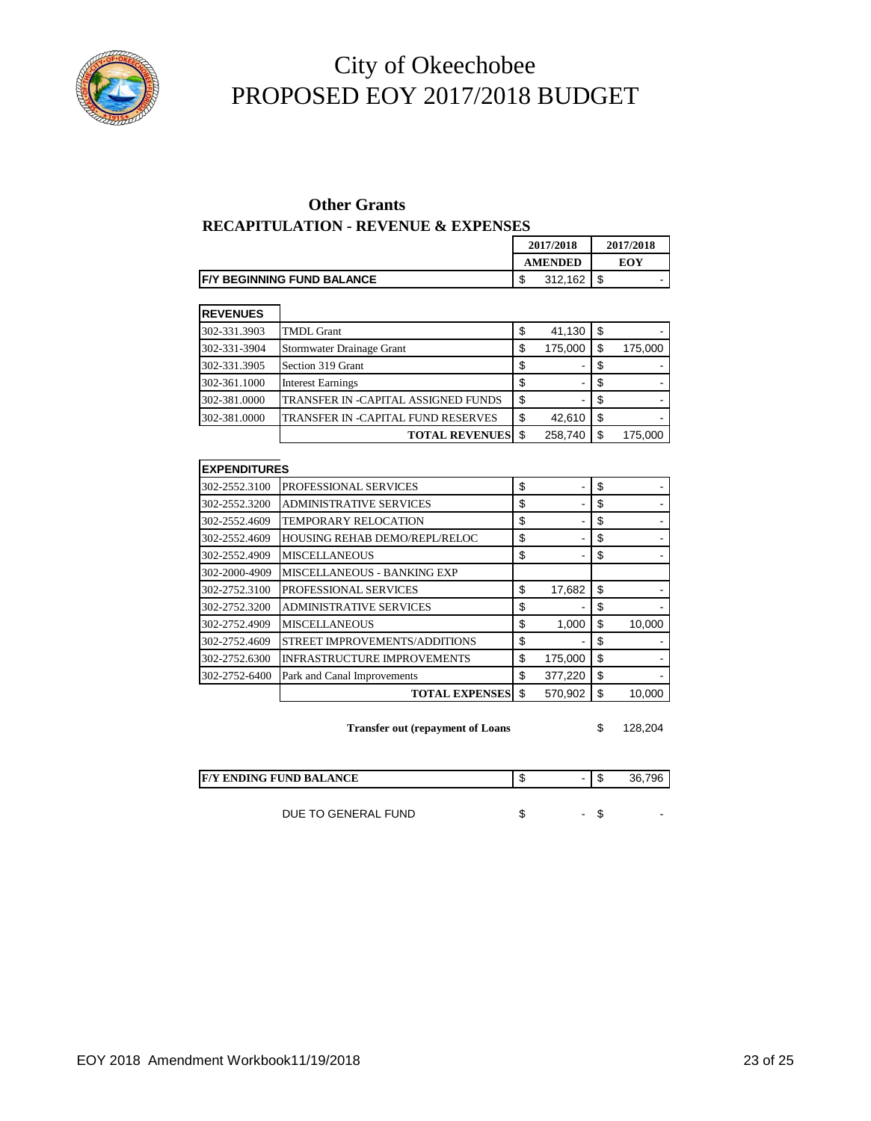

#### **Other Grants**

#### **RECAPITULATION - REVENUE & EXPENSES**

|                                    | 2017/2018      | 2017/2018   |  |  |
|------------------------------------|----------------|-------------|--|--|
|                                    | <b>AMENDED</b> | EOY         |  |  |
| <b>IF/Y BEGINNING FUND BALANCE</b> | 312,162        | c<br>-<br>J |  |  |

| <b>REVENUES</b> |                                     |     |         |     |         |
|-----------------|-------------------------------------|-----|---------|-----|---------|
| 302-331.3903    | <b>TMDL Grant</b>                   | \$  | 41,130  | \$  |         |
| 302-331-3904    | Stormwater Drainage Grant           | \$  | 175,000 | \$  | 175,000 |
| 302-331.3905    | Section 319 Grant                   | S   | ۰.      |     |         |
| 302-361.1000    | <b>Interest Earnings</b>            |     | ۰.      |     |         |
| 302-381.0000    | TRANSFER IN -CAPITAL ASSIGNED FUNDS | S   | ۰       | -S  |         |
| 302-381.0000    | TRANSFER IN -CAPITAL FUND RESERVES  | \$  | 42,610  | \$  |         |
|                 | <b>TOTAL REVENUES</b>               | \$. | 258,740 | \$. | 175.000 |

| <b>EXPENDITURES</b> |                                      |               |    |        |
|---------------------|--------------------------------------|---------------|----|--------|
| 302-2552.3100       | PROFESSIONAL SERVICES                | \$            | \$ |        |
| 302-2552.3200       | <b>ADMINISTRATIVE SERVICES</b>       | \$            | \$ |        |
| 302-2552.4609       | <b>TEMPORARY RELOCATION</b>          | \$            | \$ |        |
| 302-2552.4609       | <b>HOUSING REHAB DEMO/REPL/RELOC</b> | \$            | \$ |        |
| 302-2552.4909       | <b>MISCELLANEOUS</b>                 | \$            | \$ |        |
| 302-2000-4909       | MISCELLANEOUS - BANKING EXP          |               |    |        |
| 302-2752.3100       | PROFESSIONAL SERVICES                | \$<br>17,682  | \$ |        |
| 302-2752.3200       | <b>ADMINISTRATIVE SERVICES</b>       | \$            | S  |        |
| 302-2752.4909       | <b>MISCELLANEOUS</b>                 | \$<br>1,000   | S  | 10,000 |
| 302-2752.4609       | STREET IMPROVEMENTS/ADDITIONS        | \$            | \$ |        |
| 302-2752.6300       | <b>INFRASTRUCTURE IMPROVEMENTS</b>   | \$<br>175,000 | \$ |        |
| 302-2752-6400       | Park and Canal Improvements          | \$<br>377,220 | \$ |        |
|                     | <b>TOTAL EXPENSES</b>                | \$<br>570.902 | \$ | 10,000 |

**Transfer out (repayment of Loans** \$ 128,204

| <b>F/Y ENDING FUND BALANCE</b> |   | 796 |
|--------------------------------|---|-----|
|                                |   |     |
| DUE TO GENERAL FUND            | ۰ |     |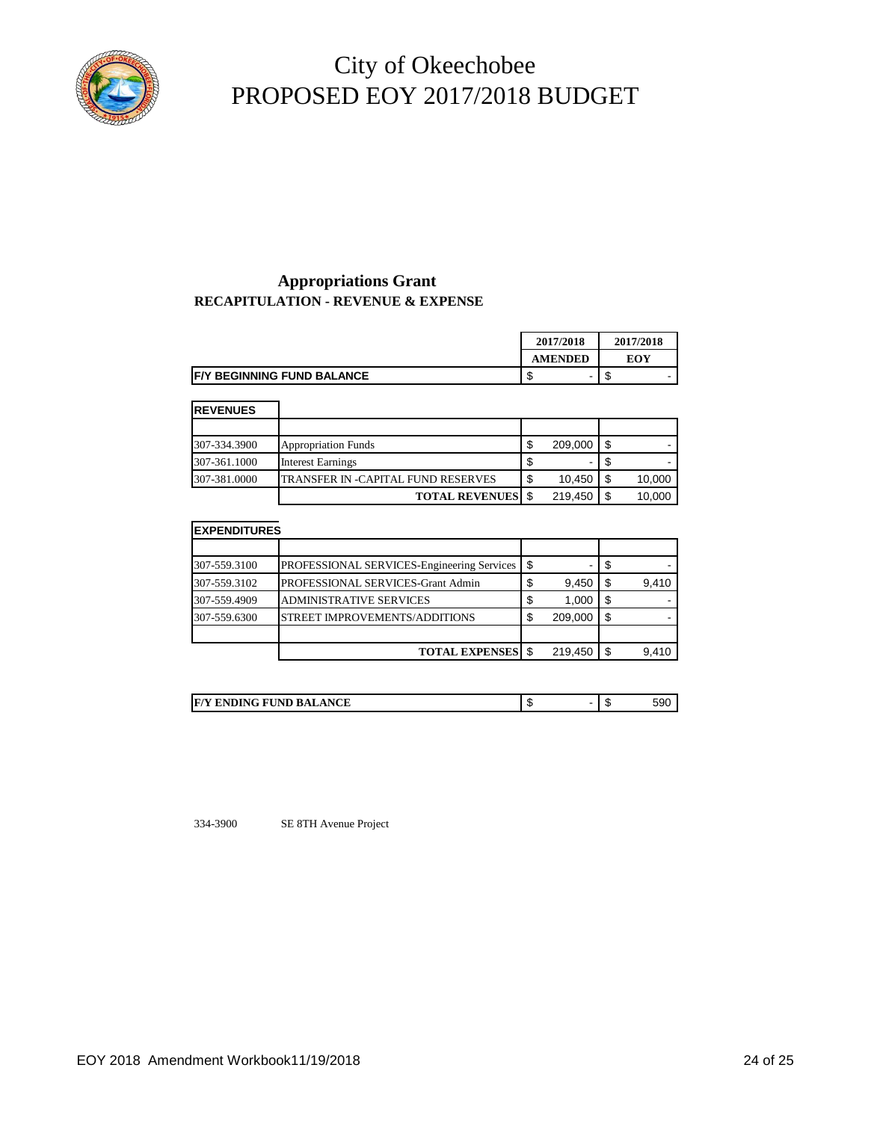

#### **Appropriations Grant RECAPITULATION - REVENUE & EXPENSE**

|                                    | 2017/2018      | 2017/2018 |
|------------------------------------|----------------|-----------|
|                                    | <b>AMENDED</b> | EOY       |
| <b>IF/Y BEGINNING FUND BALANCE</b> | -<br>۰D        | мD        |

| ╾<br>œ |  |
|--------|--|

| INEVENUES    |                                    |        |         |     |        |
|--------------|------------------------------------|--------|---------|-----|--------|
|              |                                    |        |         |     |        |
| 307-334.3900 | <b>Appropriation Funds</b>         | ጦ<br>ъ | 209,000 |     |        |
| 307-361.1000 | <b>Interest Earnings</b>           |        |         |     |        |
| 307-381.0000 | TRANSFER IN -CAPITAL FUND RESERVES | S      | 10.450  |     | 10,000 |
|              | <b>TOTAL REVENUES</b> \$           |        | 219.450 | -\$ | 10,000 |

#### **EXPENDITURES**

| 307-559.3100 | PROFESSIONAL SERVICES-Engineering Services | - \$   | -       |      |       |
|--------------|--------------------------------------------|--------|---------|------|-------|
| 307-559.3102 | PROFESSIONAL SERVICES-Grant Admin          | \$     | 9,450   |      | 9,410 |
| 307-559.4909 | <b>ADMINISTRATIVE SERVICES</b>             | \$     | 1,000   | - \$ |       |
| 307-559.6300 | STREET IMPROVEMENTS/ADDITIONS              | ጦ<br>J | 209,000 | - \$ |       |
|              |                                            |        |         |      |       |
|              | <b>TOTAL EXPENSES</b> \$                   |        | 219,450 |      | 9,410 |

| <b>ENDING FUND BALANCE</b><br>F/V<br>$\sim$ | $\cdot$ |  | - 11 | ).ઝા |
|---------------------------------------------|---------|--|------|------|
|---------------------------------------------|---------|--|------|------|

334-3900 SE 8TH Avenue Project